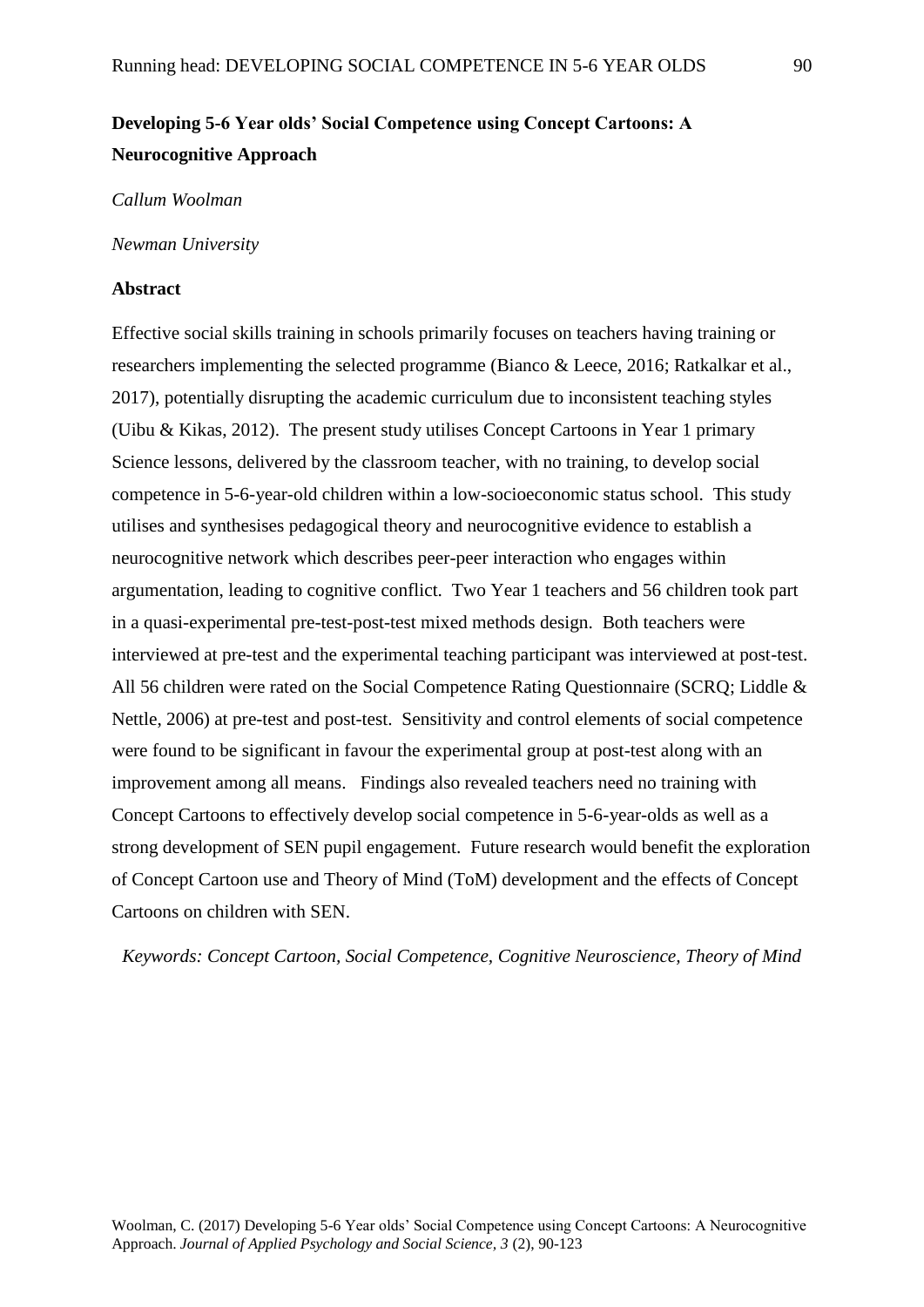# **Developing 5-6 Year olds' Social Competence using Concept Cartoons: A Neurocognitive Approach**

### *Callum Woolman*

#### *Newman University*

# **Abstract**

Effective social skills training in schools primarily focuses on teachers having training or researchers implementing the selected programme (Bianco & Leece, 2016; Ratkalkar et al., 2017), potentially disrupting the academic curriculum due to inconsistent teaching styles (Uibu & Kikas, 2012). The present study utilises Concept Cartoons in Year 1 primary Science lessons, delivered by the classroom teacher, with no training, to develop social competence in 5-6-year-old children within a low-socioeconomic status school. This study utilises and synthesises pedagogical theory and neurocognitive evidence to establish a neurocognitive network which describes peer-peer interaction who engages within argumentation, leading to cognitive conflict. Two Year 1 teachers and 56 children took part in a quasi-experimental pre-test-post-test mixed methods design. Both teachers were interviewed at pre-test and the experimental teaching participant was interviewed at post-test. All 56 children were rated on the Social Competence Rating Questionnaire (SCRQ; Liddle & Nettle, 2006) at pre-test and post-test. Sensitivity and control elements of social competence were found to be significant in favour the experimental group at post-test along with an improvement among all means. Findings also revealed teachers need no training with Concept Cartoons to effectively develop social competence in 5-6-year-olds as well as a strong development of SEN pupil engagement. Future research would benefit the exploration of Concept Cartoon use and Theory of Mind (ToM) development and the effects of Concept Cartoons on children with SEN.

*Keywords: Concept Cartoon, Social Competence, Cognitive Neuroscience, Theory of Mind*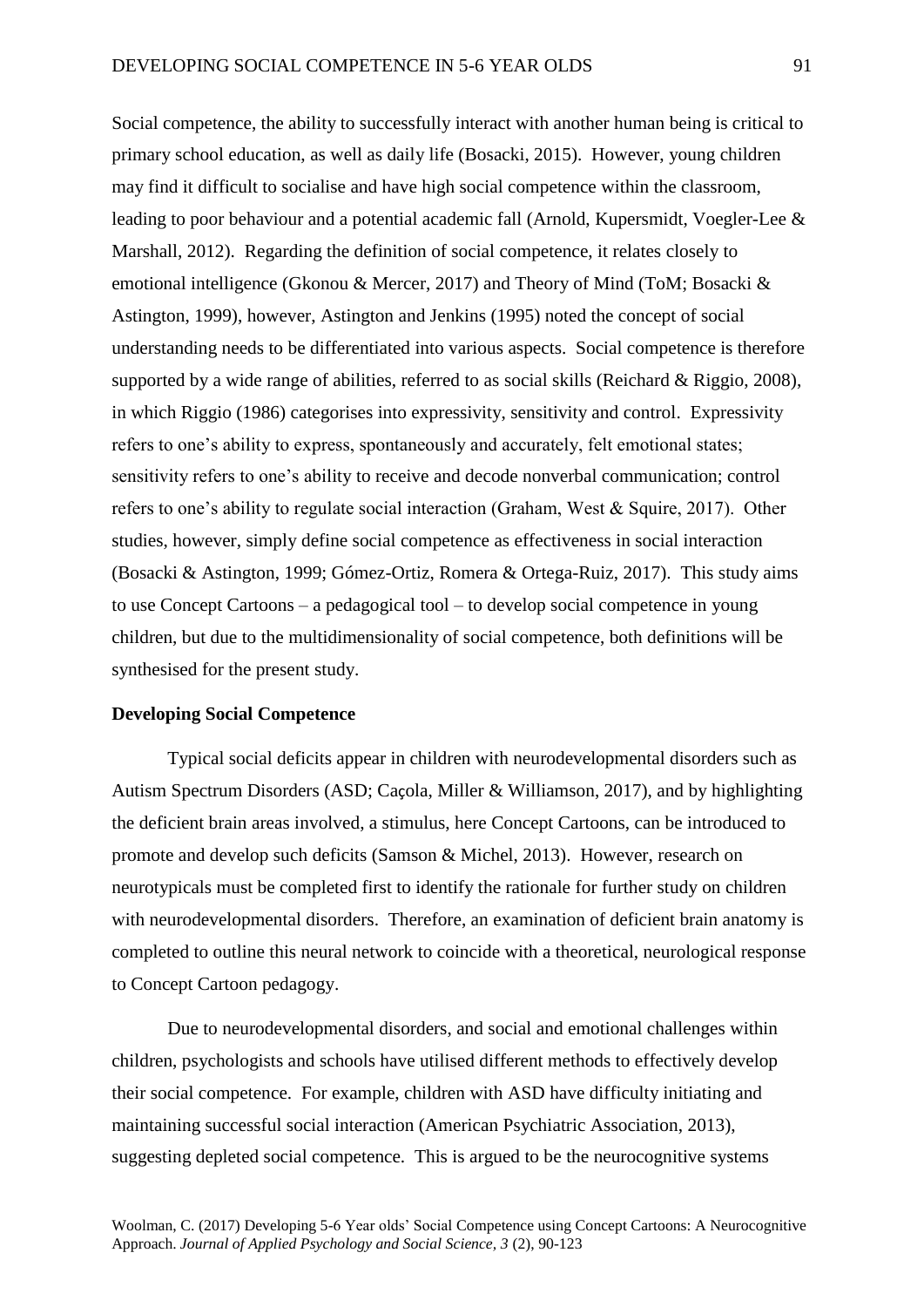Social competence, the ability to successfully interact with another human being is critical to primary school education, as well as daily life (Bosacki, 2015). However, young children may find it difficult to socialise and have high social competence within the classroom, leading to poor behaviour and a potential academic fall (Arnold, Kupersmidt, Voegler-Lee & Marshall, 2012). Regarding the definition of social competence, it relates closely to emotional intelligence (Gkonou & Mercer, 2017) and Theory of Mind (ToM; Bosacki & Astington, 1999), however, Astington and Jenkins (1995) noted the concept of social understanding needs to be differentiated into various aspects. Social competence is therefore supported by a wide range of abilities, referred to as social skills (Reichard & Riggio, 2008), in which Riggio (1986) categorises into expressivity, sensitivity and control. Expressivity refers to one's ability to express, spontaneously and accurately, felt emotional states; sensitivity refers to one's ability to receive and decode nonverbal communication; control refers to one's ability to regulate social interaction (Graham, West & Squire, 2017). Other studies, however, simply define social competence as effectiveness in social interaction (Bosacki & Astington, 1999; Gómez-Ortiz, Romera & Ortega-Ruiz, 2017). This study aims to use Concept Cartoons – a pedagogical tool – to develop social competence in young children, but due to the multidimensionality of social competence, both definitions will be synthesised for the present study.

# **Developing Social Competence**

Typical social deficits appear in children with neurodevelopmental disorders such as Autism Spectrum Disorders (ASD; Caçola, Miller & Williamson, 2017), and by highlighting the deficient brain areas involved, a stimulus, here Concept Cartoons, can be introduced to promote and develop such deficits (Samson & Michel, 2013). However, research on neurotypicals must be completed first to identify the rationale for further study on children with neurodevelopmental disorders. Therefore, an examination of deficient brain anatomy is completed to outline this neural network to coincide with a theoretical, neurological response to Concept Cartoon pedagogy.

Due to neurodevelopmental disorders, and social and emotional challenges within children, psychologists and schools have utilised different methods to effectively develop their social competence. For example, children with ASD have difficulty initiating and maintaining successful social interaction (American Psychiatric Association, 2013), suggesting depleted social competence. This is argued to be the neurocognitive systems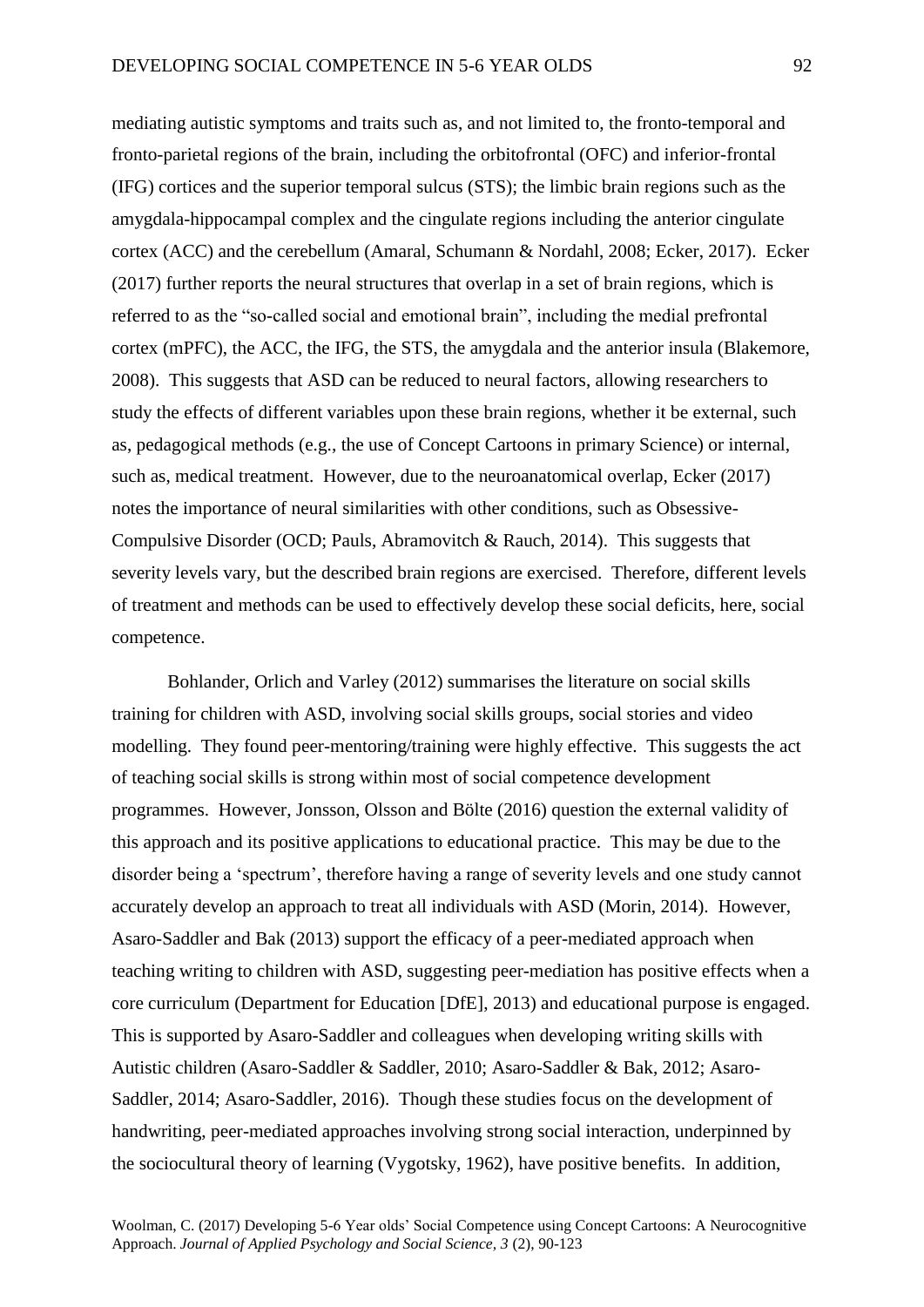mediating autistic symptoms and traits such as, and not limited to, the fronto-temporal and fronto-parietal regions of the brain, including the orbitofrontal (OFC) and inferior-frontal (IFG) cortices and the superior temporal sulcus (STS); the limbic brain regions such as the amygdala-hippocampal complex and the cingulate regions including the anterior cingulate cortex (ACC) and the cerebellum (Amaral, Schumann & Nordahl, 2008; Ecker, 2017). Ecker (2017) further reports the neural structures that overlap in a set of brain regions, which is referred to as the "so-called social and emotional brain", including the medial prefrontal cortex (mPFC), the ACC, the IFG, the STS, the amygdala and the anterior insula (Blakemore, 2008). This suggests that ASD can be reduced to neural factors, allowing researchers to study the effects of different variables upon these brain regions, whether it be external, such as, pedagogical methods (e.g., the use of Concept Cartoons in primary Science) or internal, such as, medical treatment. However, due to the neuroanatomical overlap, Ecker (2017) notes the importance of neural similarities with other conditions, such as Obsessive-Compulsive Disorder (OCD; Pauls, Abramovitch & Rauch, 2014). This suggests that severity levels vary, but the described brain regions are exercised. Therefore, different levels of treatment and methods can be used to effectively develop these social deficits, here, social competence.

Bohlander, Orlich and Varley (2012) summarises the literature on social skills training for children with ASD, involving social skills groups, social stories and video modelling. They found peer-mentoring/training were highly effective. This suggests the act of teaching social skills is strong within most of social competence development programmes. However, Jonsson, Olsson and Bölte (2016) question the external validity of this approach and its positive applications to educational practice. This may be due to the disorder being a 'spectrum', therefore having a range of severity levels and one study cannot accurately develop an approach to treat all individuals with ASD (Morin, 2014). However, Asaro-Saddler and Bak (2013) support the efficacy of a peer-mediated approach when teaching writing to children with ASD, suggesting peer-mediation has positive effects when a core curriculum (Department for Education [DfE], 2013) and educational purpose is engaged. This is supported by Asaro-Saddler and colleagues when developing writing skills with Autistic children (Asaro-Saddler & Saddler, 2010; Asaro-Saddler & Bak, 2012; Asaro-Saddler, 2014; Asaro-Saddler, 2016). Though these studies focus on the development of handwriting, peer-mediated approaches involving strong social interaction, underpinned by the sociocultural theory of learning (Vygotsky, 1962), have positive benefits. In addition,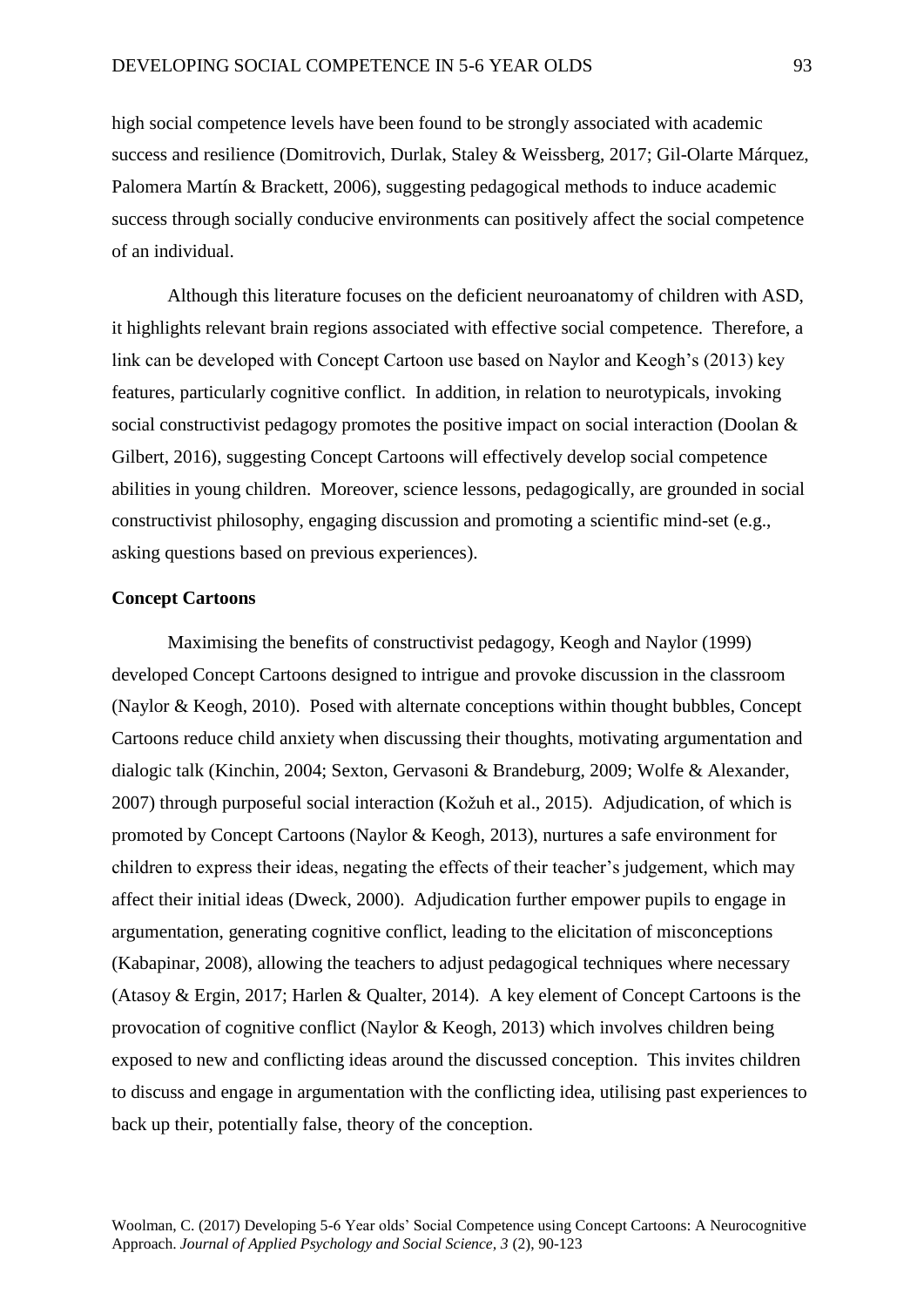high social competence levels have been found to be strongly associated with academic success and resilience (Domitrovich, Durlak, Staley & Weissberg, 2017; Gil-Olarte Márquez, Palomera Martín & Brackett, 2006), suggesting pedagogical methods to induce academic success through socially conducive environments can positively affect the social competence of an individual.

Although this literature focuses on the deficient neuroanatomy of children with ASD, it highlights relevant brain regions associated with effective social competence. Therefore, a link can be developed with Concept Cartoon use based on Naylor and Keogh's (2013) key features, particularly cognitive conflict. In addition, in relation to neurotypicals, invoking social constructivist pedagogy promotes the positive impact on social interaction (Doolan & Gilbert, 2016), suggesting Concept Cartoons will effectively develop social competence abilities in young children. Moreover, science lessons, pedagogically, are grounded in social constructivist philosophy, engaging discussion and promoting a scientific mind-set (e.g., asking questions based on previous experiences).

# **Concept Cartoons**

Maximising the benefits of constructivist pedagogy, Keogh and Naylor (1999) developed Concept Cartoons designed to intrigue and provoke discussion in the classroom (Naylor & Keogh, 2010). Posed with alternate conceptions within thought bubbles, Concept Cartoons reduce child anxiety when discussing their thoughts, motivating argumentation and dialogic talk (Kinchin, 2004; Sexton, Gervasoni & Brandeburg, 2009; Wolfe & Alexander, 2007) through purposeful social interaction (Kožuh et al., 2015). Adjudication, of which is promoted by Concept Cartoons (Naylor & Keogh, 2013), nurtures a safe environment for children to express their ideas, negating the effects of their teacher's judgement, which may affect their initial ideas (Dweck, 2000). Adjudication further empower pupils to engage in argumentation, generating cognitive conflict, leading to the elicitation of misconceptions (Kabapinar, 2008), allowing the teachers to adjust pedagogical techniques where necessary (Atasoy & Ergin, 2017; Harlen & Qualter, 2014). A key element of Concept Cartoons is the provocation of cognitive conflict (Naylor & Keogh, 2013) which involves children being exposed to new and conflicting ideas around the discussed conception. This invites children to discuss and engage in argumentation with the conflicting idea, utilising past experiences to back up their, potentially false, theory of the conception.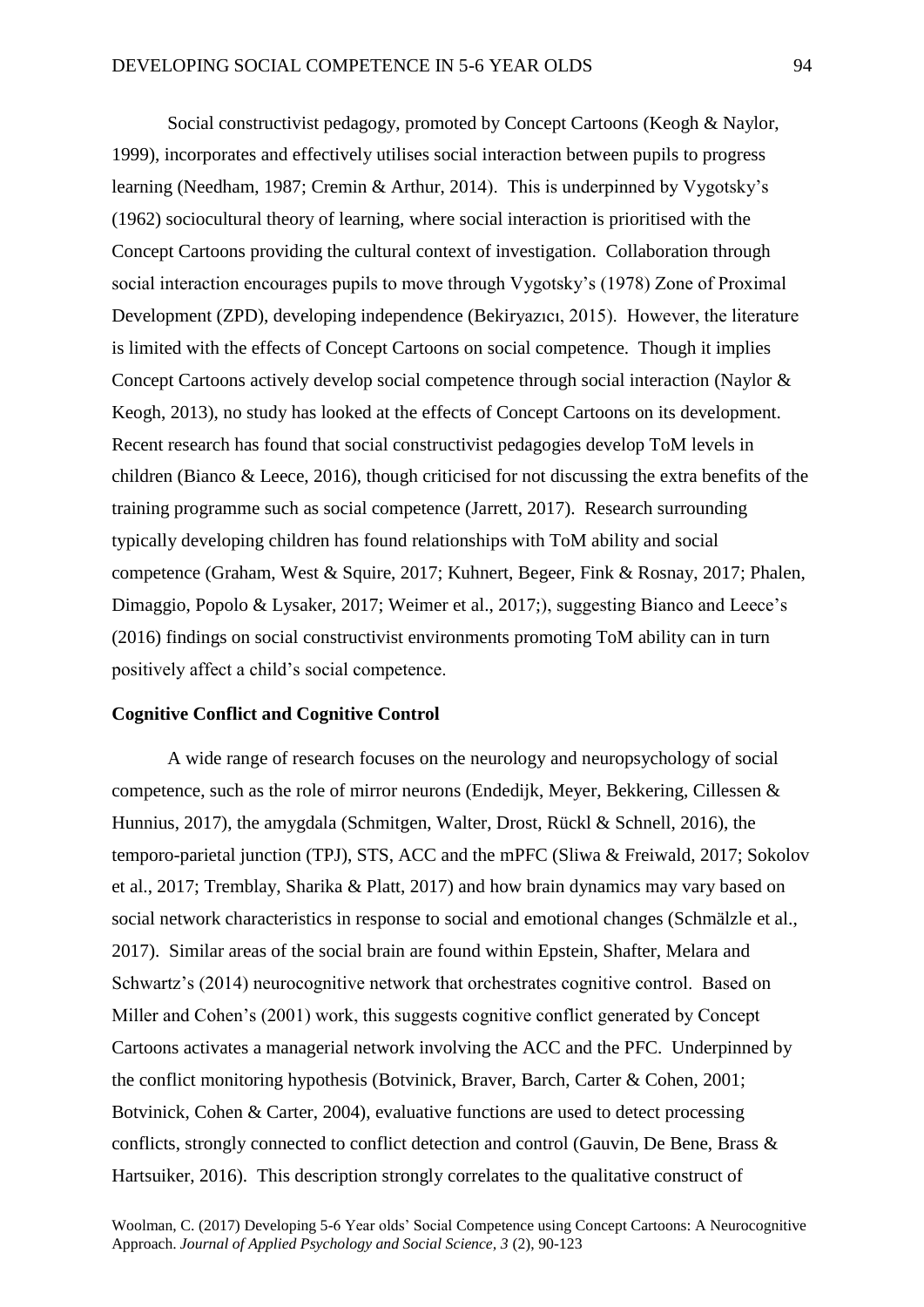Social constructivist pedagogy, promoted by Concept Cartoons (Keogh & Naylor, 1999), incorporates and effectively utilises social interaction between pupils to progress learning (Needham, 1987; Cremin & Arthur, 2014). This is underpinned by Vygotsky's (1962) sociocultural theory of learning, where social interaction is prioritised with the Concept Cartoons providing the cultural context of investigation. Collaboration through social interaction encourages pupils to move through Vygotsky's (1978) Zone of Proximal Development (ZPD), developing independence (Bekiryazıcı, 2015). However, the literature is limited with the effects of Concept Cartoons on social competence. Though it implies Concept Cartoons actively develop social competence through social interaction (Naylor & Keogh, 2013), no study has looked at the effects of Concept Cartoons on its development. Recent research has found that social constructivist pedagogies develop ToM levels in children (Bianco & Leece, 2016), though criticised for not discussing the extra benefits of the training programme such as social competence (Jarrett, 2017). Research surrounding typically developing children has found relationships with ToM ability and social competence (Graham, West & Squire, 2017; Kuhnert, Begeer, Fink & Rosnay, 2017; Phalen, Dimaggio, Popolo & Lysaker, 2017; Weimer et al., 2017;), suggesting Bianco and Leece's (2016) findings on social constructivist environments promoting ToM ability can in turn positively affect a child's social competence.

#### **Cognitive Conflict and Cognitive Control**

A wide range of research focuses on the neurology and neuropsychology of social competence, such as the role of mirror neurons (Endedijk, Meyer, Bekkering, Cillessen & Hunnius, 2017), the amygdala (Schmitgen, Walter, Drost, Rückl & Schnell, 2016), the temporo-parietal junction (TPJ), STS, ACC and the mPFC (Sliwa & Freiwald, 2017; Sokolov et al., 2017; Tremblay, Sharika & Platt, 2017) and how brain dynamics may vary based on social network characteristics in response to social and emotional changes (Schmälzle et al., 2017). Similar areas of the social brain are found within Epstein, Shafter, Melara and Schwartz's (2014) neurocognitive network that orchestrates cognitive control. Based on Miller and Cohen's (2001) work, this suggests cognitive conflict generated by Concept Cartoons activates a managerial network involving the ACC and the PFC. Underpinned by the conflict monitoring hypothesis (Botvinick, Braver, Barch, Carter & Cohen, 2001; Botvinick, Cohen & Carter, 2004), evaluative functions are used to detect processing conflicts, strongly connected to conflict detection and control (Gauvin, De Bene, Brass & Hartsuiker, 2016). This description strongly correlates to the qualitative construct of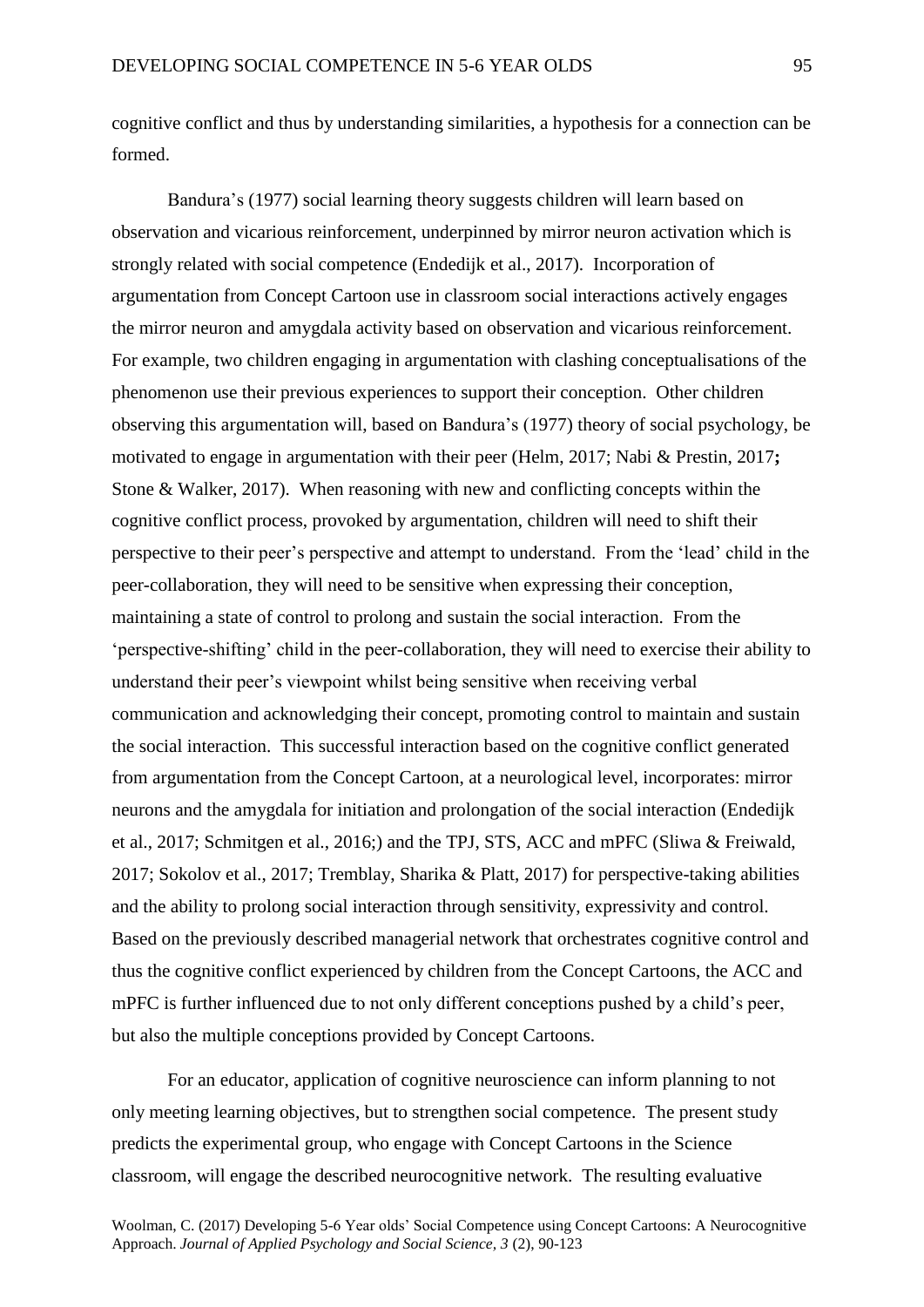cognitive conflict and thus by understanding similarities, a hypothesis for a connection can be formed.

Bandura's (1977) social learning theory suggests children will learn based on observation and vicarious reinforcement, underpinned by mirror neuron activation which is strongly related with social competence (Endedijk et al., 2017). Incorporation of argumentation from Concept Cartoon use in classroom social interactions actively engages the mirror neuron and amygdala activity based on observation and vicarious reinforcement. For example, two children engaging in argumentation with clashing conceptualisations of the phenomenon use their previous experiences to support their conception. Other children observing this argumentation will, based on Bandura's (1977) theory of social psychology, be motivated to engage in argumentation with their peer (Helm, 2017; Nabi & Prestin, 2017**;** Stone & Walker, 2017). When reasoning with new and conflicting concepts within the cognitive conflict process, provoked by argumentation, children will need to shift their perspective to their peer's perspective and attempt to understand. From the 'lead' child in the peer-collaboration, they will need to be sensitive when expressing their conception, maintaining a state of control to prolong and sustain the social interaction. From the 'perspective-shifting' child in the peer-collaboration, they will need to exercise their ability to understand their peer's viewpoint whilst being sensitive when receiving verbal communication and acknowledging their concept, promoting control to maintain and sustain the social interaction. This successful interaction based on the cognitive conflict generated from argumentation from the Concept Cartoon, at a neurological level, incorporates: mirror neurons and the amygdala for initiation and prolongation of the social interaction (Endedijk et al., 2017; Schmitgen et al., 2016;) and the TPJ, STS, ACC and mPFC (Sliwa & Freiwald, 2017; Sokolov et al., 2017; Tremblay, Sharika & Platt, 2017) for perspective-taking abilities and the ability to prolong social interaction through sensitivity, expressivity and control. Based on the previously described managerial network that orchestrates cognitive control and thus the cognitive conflict experienced by children from the Concept Cartoons, the ACC and mPFC is further influenced due to not only different conceptions pushed by a child's peer, but also the multiple conceptions provided by Concept Cartoons.

For an educator, application of cognitive neuroscience can inform planning to not only meeting learning objectives, but to strengthen social competence. The present study predicts the experimental group, who engage with Concept Cartoons in the Science classroom, will engage the described neurocognitive network. The resulting evaluative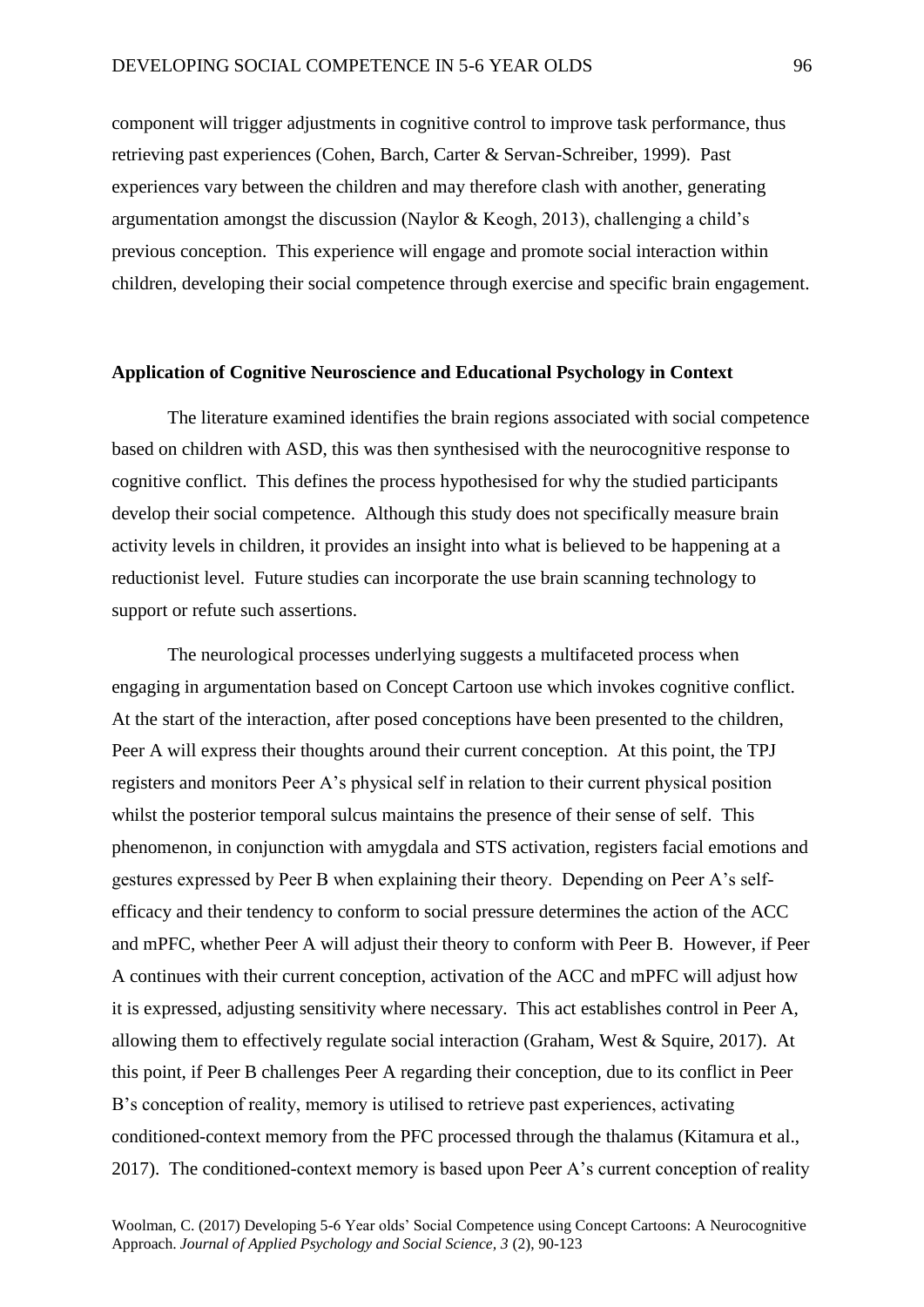component will trigger adjustments in cognitive control to improve task performance, thus retrieving past experiences (Cohen, Barch, Carter & Servan-Schreiber, 1999). Past experiences vary between the children and may therefore clash with another, generating argumentation amongst the discussion (Naylor & Keogh, 2013), challenging a child's previous conception. This experience will engage and promote social interaction within children, developing their social competence through exercise and specific brain engagement.

# **Application of Cognitive Neuroscience and Educational Psychology in Context**

The literature examined identifies the brain regions associated with social competence based on children with ASD, this was then synthesised with the neurocognitive response to cognitive conflict. This defines the process hypothesised for why the studied participants develop their social competence. Although this study does not specifically measure brain activity levels in children, it provides an insight into what is believed to be happening at a reductionist level. Future studies can incorporate the use brain scanning technology to support or refute such assertions.

The neurological processes underlying suggests a multifaceted process when engaging in argumentation based on Concept Cartoon use which invokes cognitive conflict. At the start of the interaction, after posed conceptions have been presented to the children, Peer A will express their thoughts around their current conception. At this point, the TPJ registers and monitors Peer A's physical self in relation to their current physical position whilst the posterior temporal sulcus maintains the presence of their sense of self. This phenomenon, in conjunction with amygdala and STS activation, registers facial emotions and gestures expressed by Peer B when explaining their theory. Depending on Peer A's selfefficacy and their tendency to conform to social pressure determines the action of the ACC and mPFC, whether Peer A will adjust their theory to conform with Peer B. However, if Peer A continues with their current conception, activation of the ACC and mPFC will adjust how it is expressed, adjusting sensitivity where necessary. This act establishes control in Peer A, allowing them to effectively regulate social interaction (Graham, West & Squire, 2017). At this point, if Peer B challenges Peer A regarding their conception, due to its conflict in Peer B's conception of reality, memory is utilised to retrieve past experiences, activating conditioned-context memory from the PFC processed through the thalamus (Kitamura et al., 2017). The conditioned-context memory is based upon Peer A's current conception of reality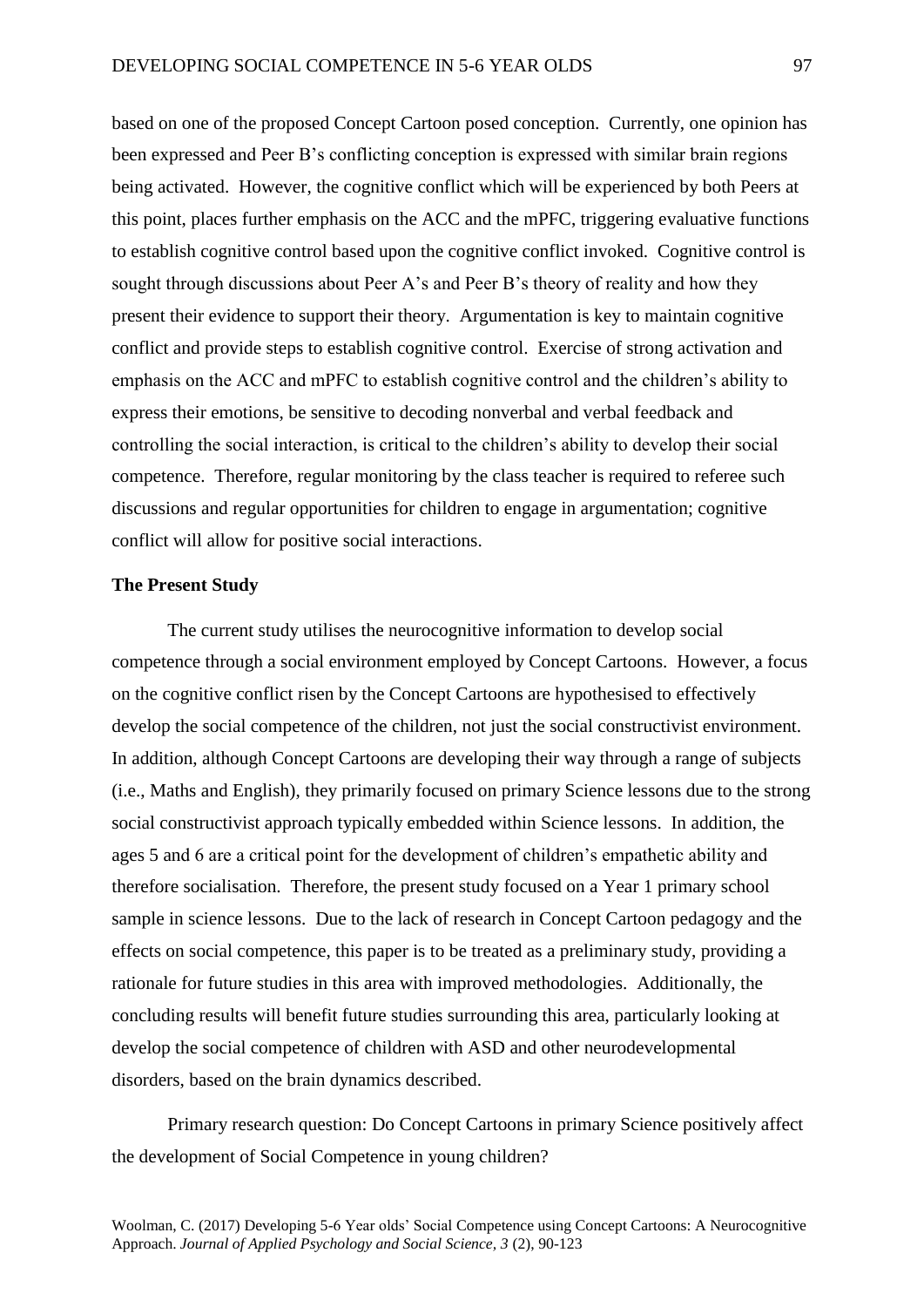based on one of the proposed Concept Cartoon posed conception. Currently, one opinion has been expressed and Peer B's conflicting conception is expressed with similar brain regions being activated. However, the cognitive conflict which will be experienced by both Peers at this point, places further emphasis on the ACC and the mPFC, triggering evaluative functions to establish cognitive control based upon the cognitive conflict invoked. Cognitive control is sought through discussions about Peer A's and Peer B's theory of reality and how they present their evidence to support their theory. Argumentation is key to maintain cognitive conflict and provide steps to establish cognitive control. Exercise of strong activation and emphasis on the ACC and mPFC to establish cognitive control and the children's ability to express their emotions, be sensitive to decoding nonverbal and verbal feedback and controlling the social interaction, is critical to the children's ability to develop their social competence. Therefore, regular monitoring by the class teacher is required to referee such discussions and regular opportunities for children to engage in argumentation; cognitive conflict will allow for positive social interactions.

# **The Present Study**

The current study utilises the neurocognitive information to develop social competence through a social environment employed by Concept Cartoons. However, a focus on the cognitive conflict risen by the Concept Cartoons are hypothesised to effectively develop the social competence of the children, not just the social constructivist environment. In addition, although Concept Cartoons are developing their way through a range of subjects (i.e., Maths and English), they primarily focused on primary Science lessons due to the strong social constructivist approach typically embedded within Science lessons. In addition, the ages 5 and 6 are a critical point for the development of children's empathetic ability and therefore socialisation. Therefore, the present study focused on a Year 1 primary school sample in science lessons. Due to the lack of research in Concept Cartoon pedagogy and the effects on social competence, this paper is to be treated as a preliminary study, providing a rationale for future studies in this area with improved methodologies. Additionally, the concluding results will benefit future studies surrounding this area, particularly looking at develop the social competence of children with ASD and other neurodevelopmental disorders, based on the brain dynamics described.

Primary research question: Do Concept Cartoons in primary Science positively affect the development of Social Competence in young children?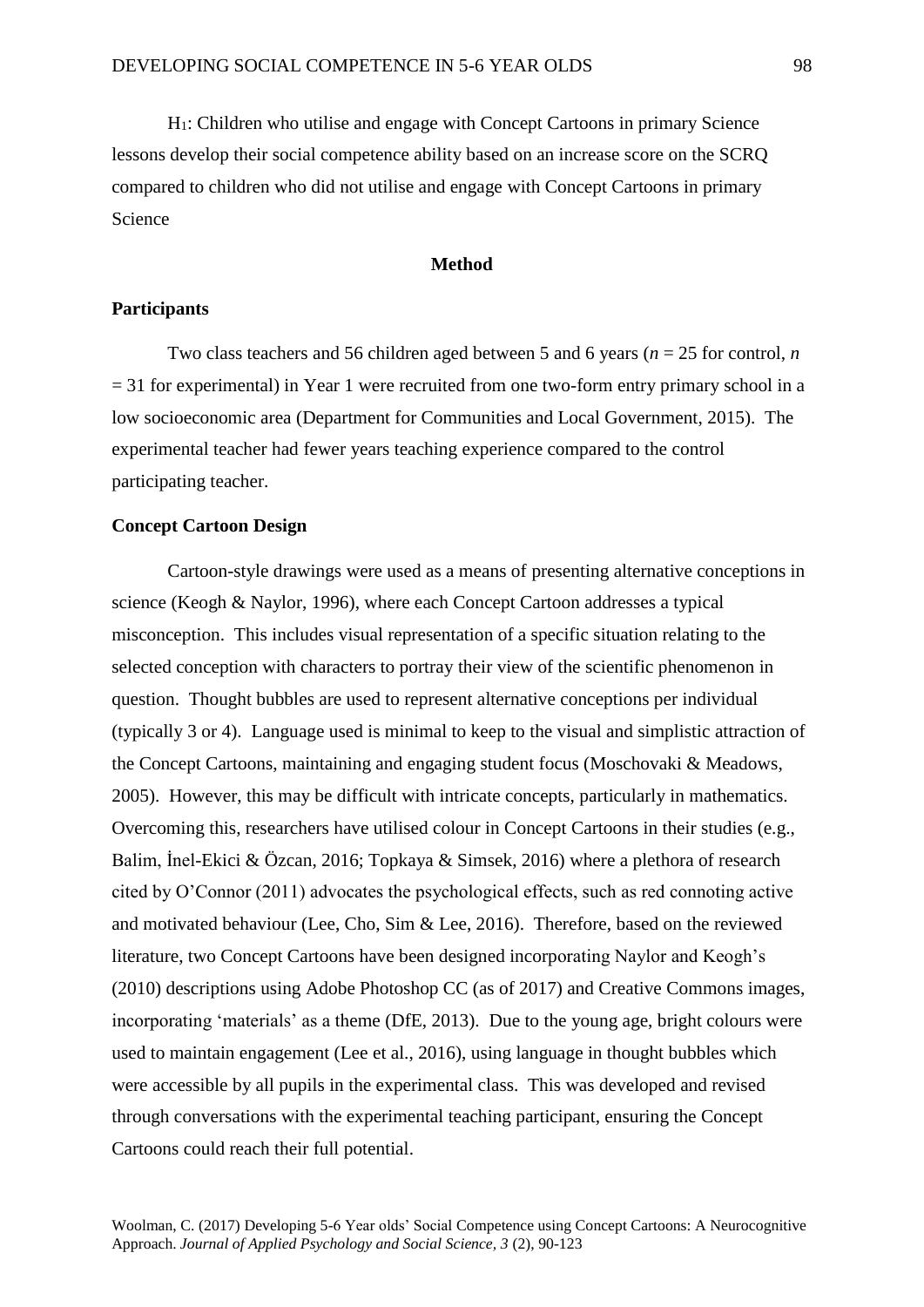H1: Children who utilise and engage with Concept Cartoons in primary Science lessons develop their social competence ability based on an increase score on the SCRQ compared to children who did not utilise and engage with Concept Cartoons in primary Science

# **Method**

# **Participants**

Two class teachers and 56 children aged between 5 and 6 years (*n* = 25 for control, *n*  $= 31$  for experimental) in Year 1 were recruited from one two-form entry primary school in a low socioeconomic area (Department for Communities and Local Government, 2015). The experimental teacher had fewer years teaching experience compared to the control participating teacher.

# **Concept Cartoon Design**

Cartoon-style drawings were used as a means of presenting alternative conceptions in science (Keogh & Naylor, 1996), where each Concept Cartoon addresses a typical misconception. This includes visual representation of a specific situation relating to the selected conception with characters to portray their view of the scientific phenomenon in question. Thought bubbles are used to represent alternative conceptions per individual (typically 3 or 4). Language used is minimal to keep to the visual and simplistic attraction of the Concept Cartoons, maintaining and engaging student focus (Moschovaki & Meadows, 2005). However, this may be difficult with intricate concepts, particularly in mathematics. Overcoming this, researchers have utilised colour in Concept Cartoons in their studies (e.g., Balim, İnel-Ekici & Özcan, 2016; Topkaya & Simsek, 2016) where a plethora of research cited by O'Connor (2011) advocates the psychological effects, such as red connoting active and motivated behaviour (Lee, Cho, Sim & Lee, 2016). Therefore, based on the reviewed literature, two Concept Cartoons have been designed incorporating Naylor and Keogh's (2010) descriptions using Adobe Photoshop CC (as of 2017) and Creative Commons images, incorporating 'materials' as a theme (DfE, 2013). Due to the young age, bright colours were used to maintain engagement (Lee et al., 2016), using language in thought bubbles which were accessible by all pupils in the experimental class. This was developed and revised through conversations with the experimental teaching participant, ensuring the Concept Cartoons could reach their full potential.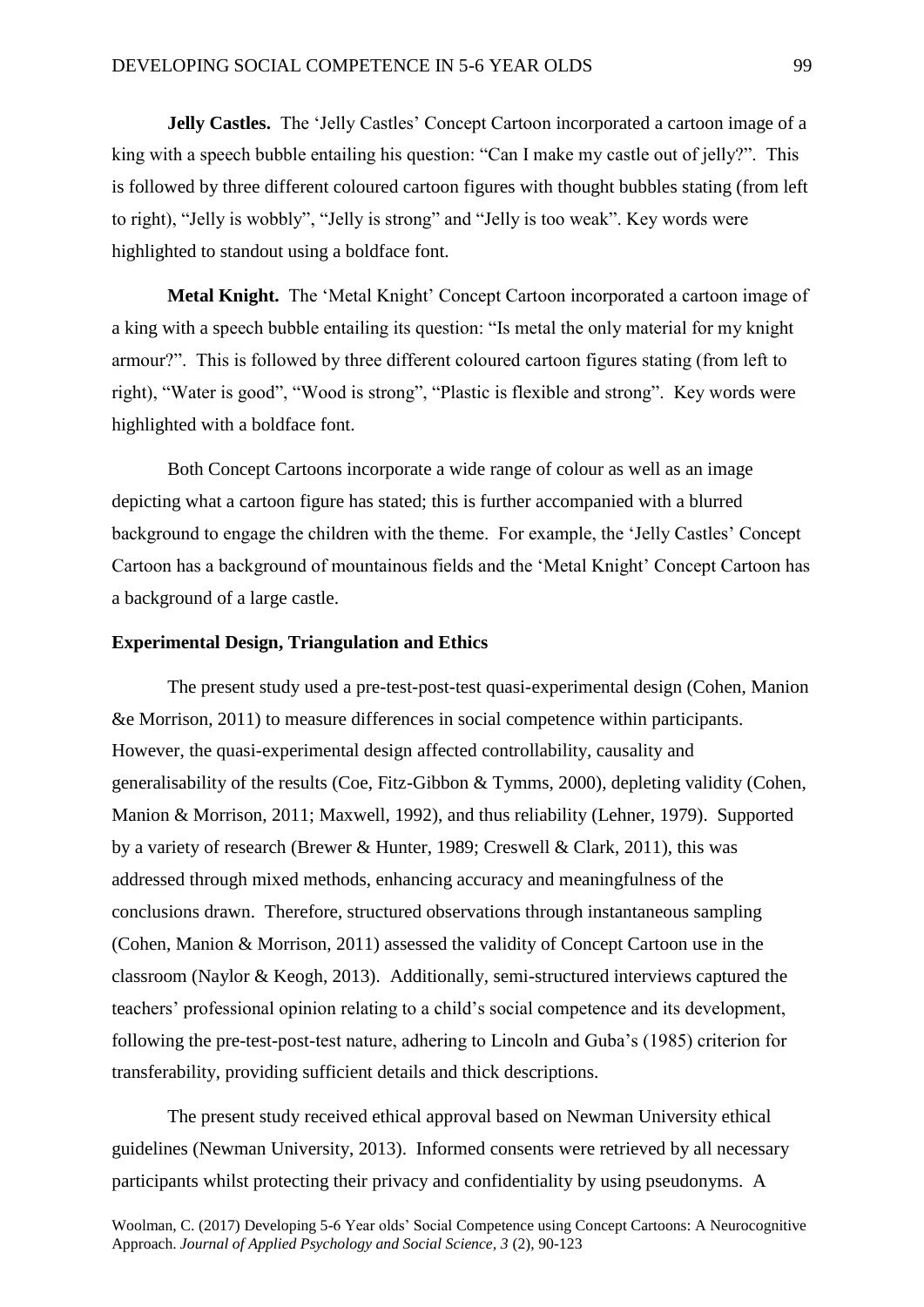**Jelly Castles.** The 'Jelly Castles' Concept Cartoon incorporated a cartoon image of a king with a speech bubble entailing his question: "Can I make my castle out of jelly?". This is followed by three different coloured cartoon figures with thought bubbles stating (from left to right), "Jelly is wobbly", "Jelly is strong" and "Jelly is too weak". Key words were highlighted to standout using a boldface font.

**Metal Knight.** The 'Metal Knight' Concept Cartoon incorporated a cartoon image of a king with a speech bubble entailing its question: "Is metal the only material for my knight armour?". This is followed by three different coloured cartoon figures stating (from left to right), "Water is good", "Wood is strong", "Plastic is flexible and strong". Key words were highlighted with a boldface font.

Both Concept Cartoons incorporate a wide range of colour as well as an image depicting what a cartoon figure has stated; this is further accompanied with a blurred background to engage the children with the theme. For example, the 'Jelly Castles' Concept Cartoon has a background of mountainous fields and the 'Metal Knight' Concept Cartoon has a background of a large castle.

# **Experimental Design, Triangulation and Ethics**

The present study used a pre-test-post-test quasi-experimental design (Cohen, Manion &e Morrison, 2011) to measure differences in social competence within participants. However, the quasi-experimental design affected controllability, causality and generalisability of the results (Coe, Fitz-Gibbon & Tymms, 2000), depleting validity (Cohen, Manion & Morrison, 2011; Maxwell, 1992), and thus reliability (Lehner, 1979). Supported by a variety of research (Brewer & Hunter, 1989; Creswell & Clark, 2011), this was addressed through mixed methods, enhancing accuracy and meaningfulness of the conclusions drawn. Therefore, structured observations through instantaneous sampling (Cohen, Manion & Morrison, 2011) assessed the validity of Concept Cartoon use in the classroom (Naylor & Keogh, 2013). Additionally, semi-structured interviews captured the teachers' professional opinion relating to a child's social competence and its development, following the pre-test-post-test nature, adhering to Lincoln and Guba's (1985) criterion for transferability, providing sufficient details and thick descriptions.

The present study received ethical approval based on Newman University ethical guidelines (Newman University, 2013). Informed consents were retrieved by all necessary participants whilst protecting their privacy and confidentiality by using pseudonyms. A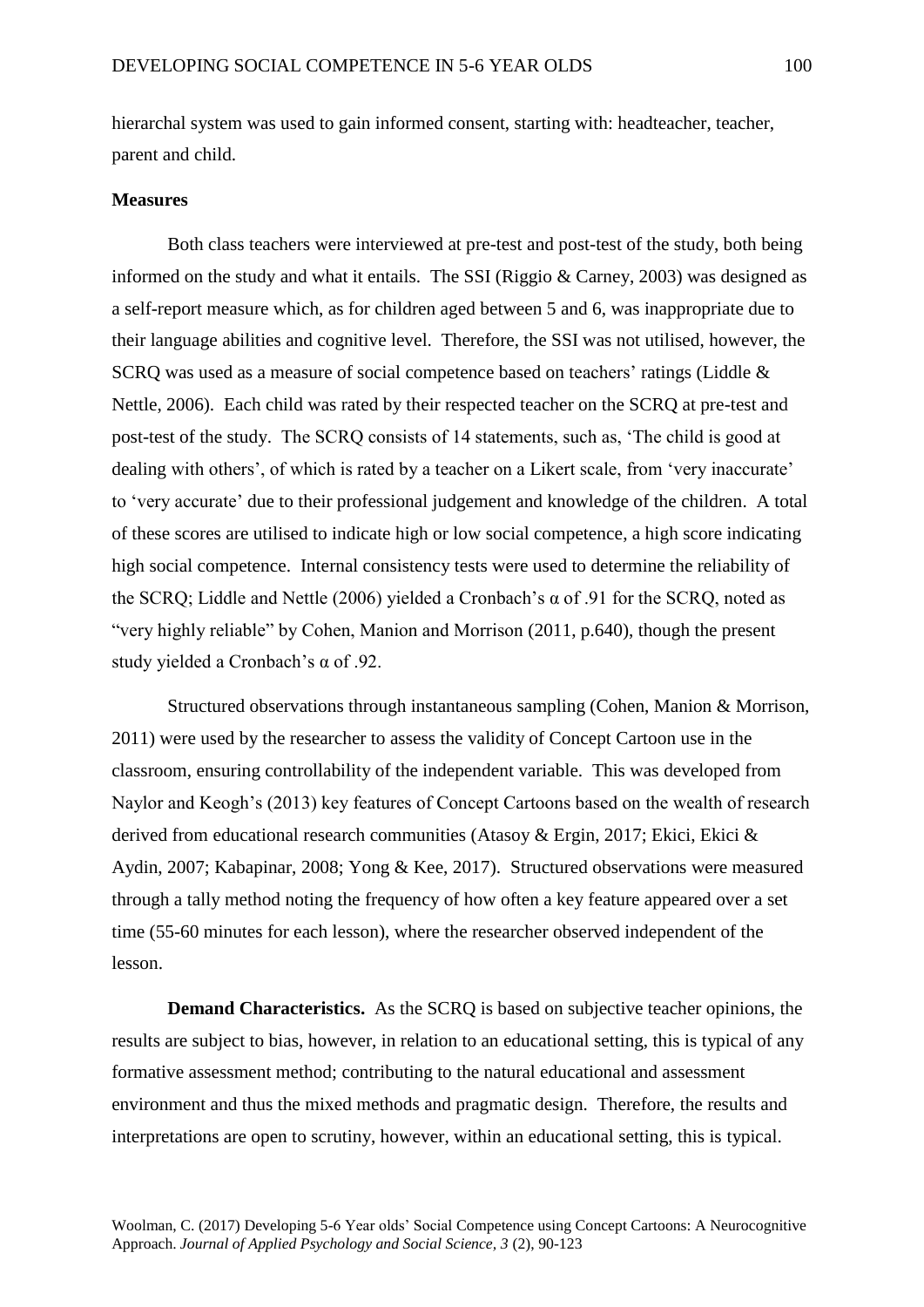hierarchal system was used to gain informed consent, starting with: headteacher, teacher, parent and child.

# **Measures**

Both class teachers were interviewed at pre-test and post-test of the study, both being informed on the study and what it entails. The SSI (Riggio & Carney, 2003) was designed as a self-report measure which, as for children aged between 5 and 6, was inappropriate due to their language abilities and cognitive level. Therefore, the SSI was not utilised, however, the SCRQ was used as a measure of social competence based on teachers' ratings (Liddle & Nettle, 2006). Each child was rated by their respected teacher on the SCRQ at pre-test and post-test of the study. The SCRQ consists of 14 statements, such as, 'The child is good at dealing with others', of which is rated by a teacher on a Likert scale, from 'very inaccurate' to 'very accurate' due to their professional judgement and knowledge of the children. A total of these scores are utilised to indicate high or low social competence, a high score indicating high social competence. Internal consistency tests were used to determine the reliability of the SCRQ; Liddle and Nettle (2006) yielded a Cronbach's α of .91 for the SCRQ, noted as "very highly reliable" by Cohen, Manion and Morrison (2011, p.640), though the present study yielded a Cronbach's α of .92.

Structured observations through instantaneous sampling (Cohen, Manion & Morrison, 2011) were used by the researcher to assess the validity of Concept Cartoon use in the classroom, ensuring controllability of the independent variable. This was developed from Naylor and Keogh's (2013) key features of Concept Cartoons based on the wealth of research derived from educational research communities (Atasoy & Ergin, 2017; Ekici, Ekici & Aydin, 2007; Kabapinar, 2008; Yong & Kee, 2017). Structured observations were measured through a tally method noting the frequency of how often a key feature appeared over a set time (55-60 minutes for each lesson), where the researcher observed independent of the lesson.

**Demand Characteristics.** As the SCRQ is based on subjective teacher opinions, the results are subject to bias, however, in relation to an educational setting, this is typical of any formative assessment method; contributing to the natural educational and assessment environment and thus the mixed methods and pragmatic design. Therefore, the results and interpretations are open to scrutiny, however, within an educational setting, this is typical.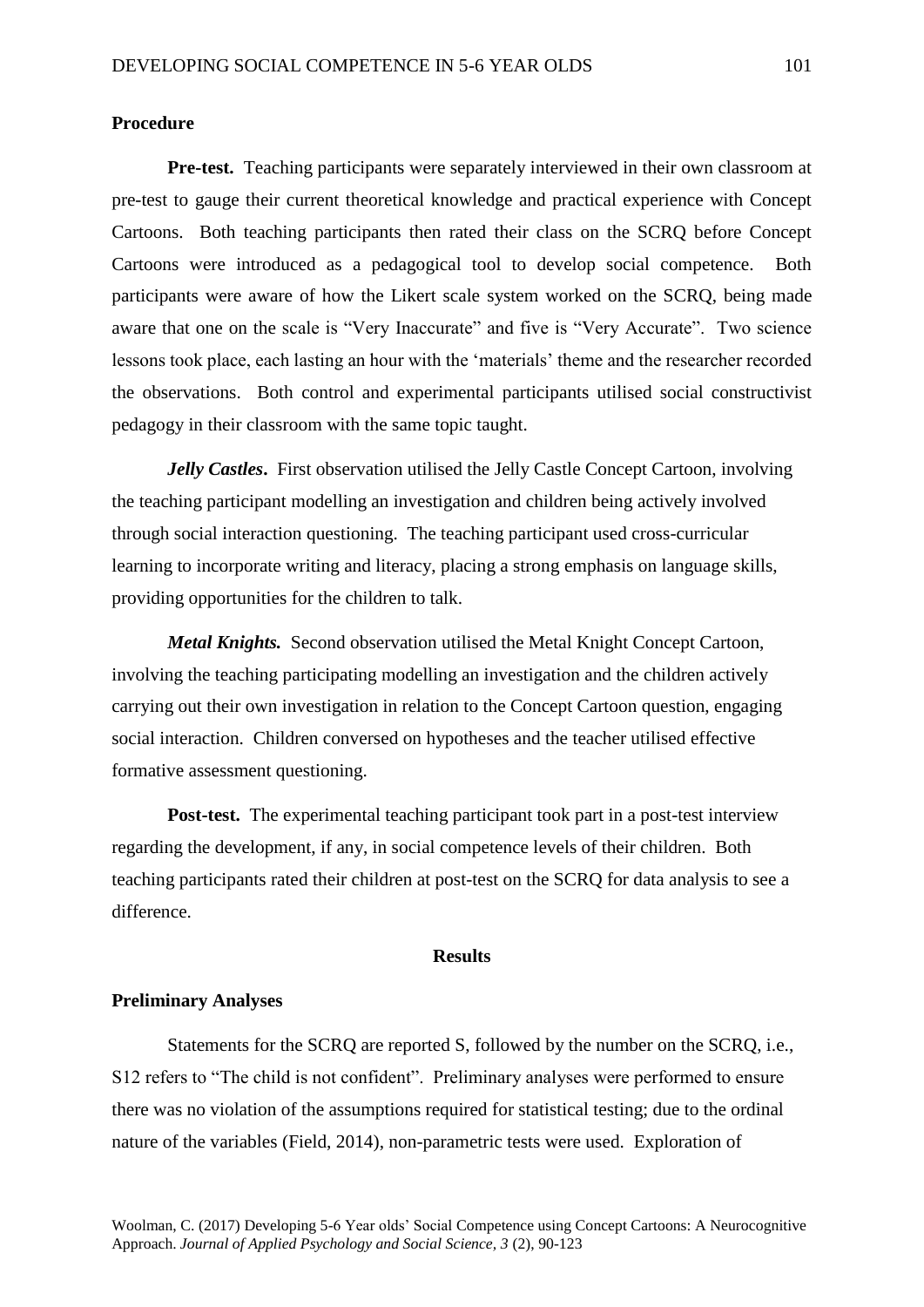# **Procedure**

**Pre-test.** Teaching participants were separately interviewed in their own classroom at pre-test to gauge their current theoretical knowledge and practical experience with Concept Cartoons. Both teaching participants then rated their class on the SCRQ before Concept Cartoons were introduced as a pedagogical tool to develop social competence. Both participants were aware of how the Likert scale system worked on the SCRQ, being made aware that one on the scale is "Very Inaccurate" and five is "Very Accurate". Two science lessons took place, each lasting an hour with the 'materials' theme and the researcher recorded the observations. Both control and experimental participants utilised social constructivist pedagogy in their classroom with the same topic taught.

*Jelly Castles*. First observation utilised the Jelly Castle Concept Cartoon, involving the teaching participant modelling an investigation and children being actively involved through social interaction questioning. The teaching participant used cross-curricular learning to incorporate writing and literacy, placing a strong emphasis on language skills, providing opportunities for the children to talk.

*Metal Knights.* Second observation utilised the Metal Knight Concept Cartoon, involving the teaching participating modelling an investigation and the children actively carrying out their own investigation in relation to the Concept Cartoon question, engaging social interaction. Children conversed on hypotheses and the teacher utilised effective formative assessment questioning.

**Post-test.** The experimental teaching participant took part in a post-test interview regarding the development, if any, in social competence levels of their children. Both teaching participants rated their children at post-test on the SCRQ for data analysis to see a difference.

#### **Results**

# **Preliminary Analyses**

Statements for the SCRQ are reported S, followed by the number on the SCRQ, i.e., S12 refers to "The child is not confident". Preliminary analyses were performed to ensure there was no violation of the assumptions required for statistical testing; due to the ordinal nature of the variables (Field, 2014), non-parametric tests were used. Exploration of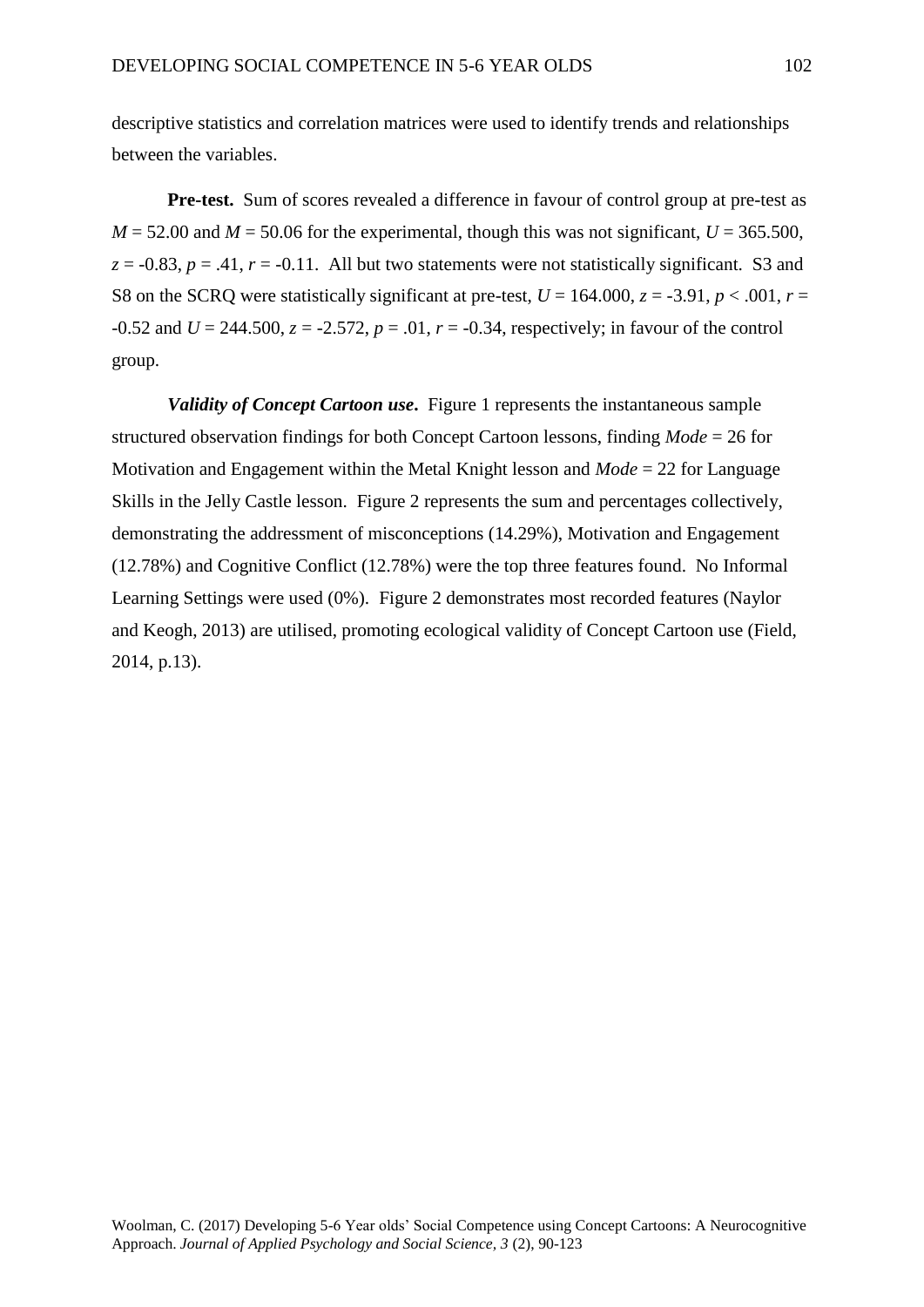descriptive statistics and correlation matrices were used to identify trends and relationships between the variables.

**Pre-test.** Sum of scores revealed a difference in favour of control group at pre-test as  $M = 52.00$  and  $M = 50.06$  for the experimental, though this was not significant,  $U = 365.500$ ,  $z = -0.83$ ,  $p = .41$ ,  $r = -0.11$ . All but two statements were not statistically significant. S3 and S8 on the SCRQ were statistically significant at pre-test,  $U = 164.000$ ,  $z = -3.91$ ,  $p < .001$ ,  $r =$  $-0.52$  and  $U = 244.500$ ,  $z = -2.572$ ,  $p = .01$ ,  $r = -0.34$ , respectively; in favour of the control group.

*Validity of Concept Cartoon use.* Figure 1 represents the instantaneous sample structured observation findings for both Concept Cartoon lessons, finding *Mode* = 26 for Motivation and Engagement within the Metal Knight lesson and *Mode* = 22 for Language Skills in the Jelly Castle lesson. Figure 2 represents the sum and percentages collectively, demonstrating the addressment of misconceptions (14.29%), Motivation and Engagement (12.78%) and Cognitive Conflict (12.78%) were the top three features found. No Informal Learning Settings were used (0%). Figure 2 demonstrates most recorded features (Naylor and Keogh, 2013) are utilised, promoting ecological validity of Concept Cartoon use (Field, 2014, p.13).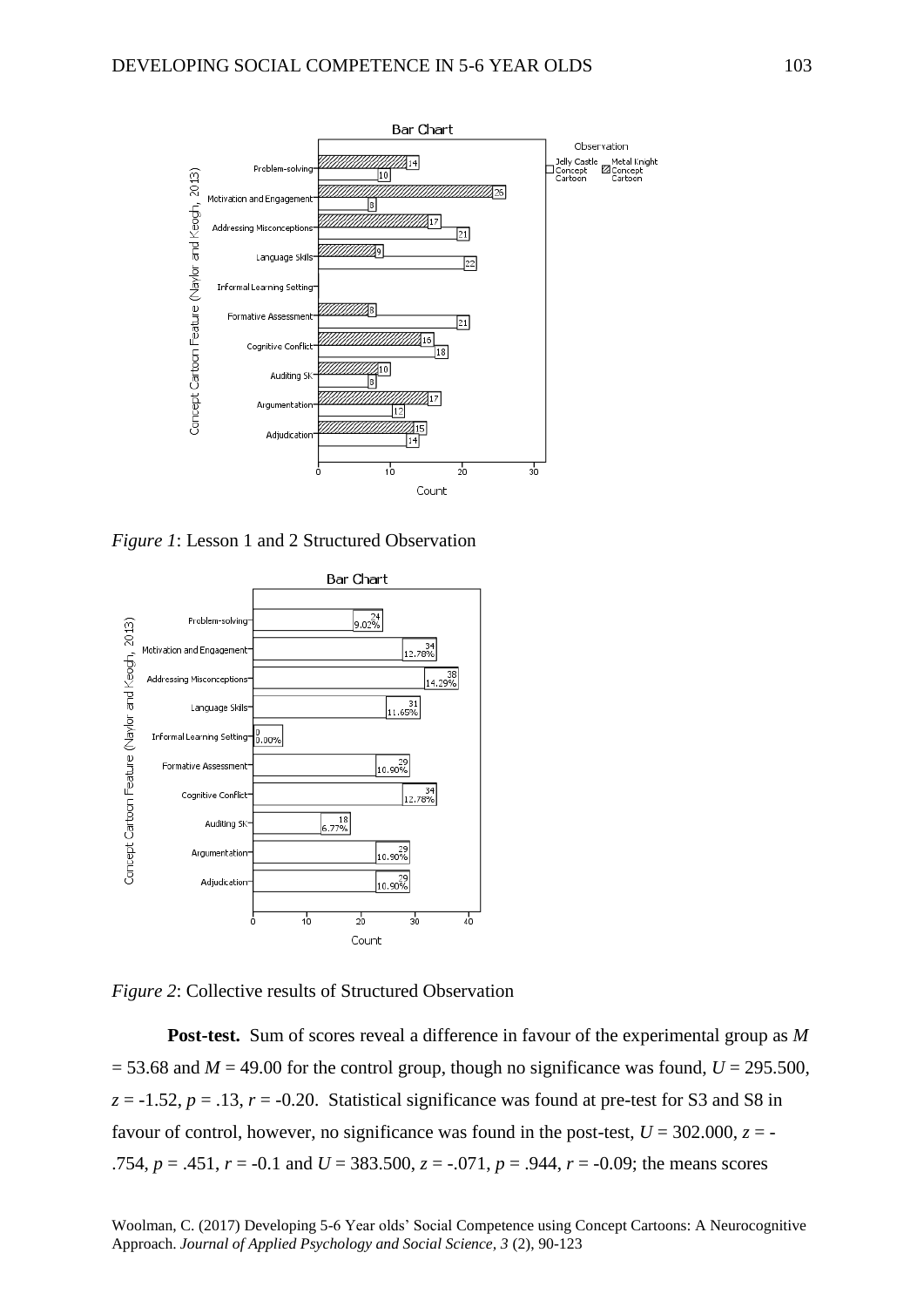

*Figure 1*: Lesson 1 and 2 Structured Observation





**Post-test.** Sum of scores reveal a difference in favour of the experimental group as *M*  $=$  53.68 and *M* = 49.00 for the control group, though no significance was found, *U* = 295.500,  $z = -1.52$ ,  $p = .13$ ,  $r = -0.20$ . Statistical significance was found at pre-test for S3 and S8 in favour of control, however, no significance was found in the post-test,  $U = 302.000$ ,  $z = -1$ .754,  $p = .451$ ,  $r = -0.1$  and  $U = 383.500$ ,  $z = -.071$ ,  $p = .944$ ,  $r = -0.09$ ; the means scores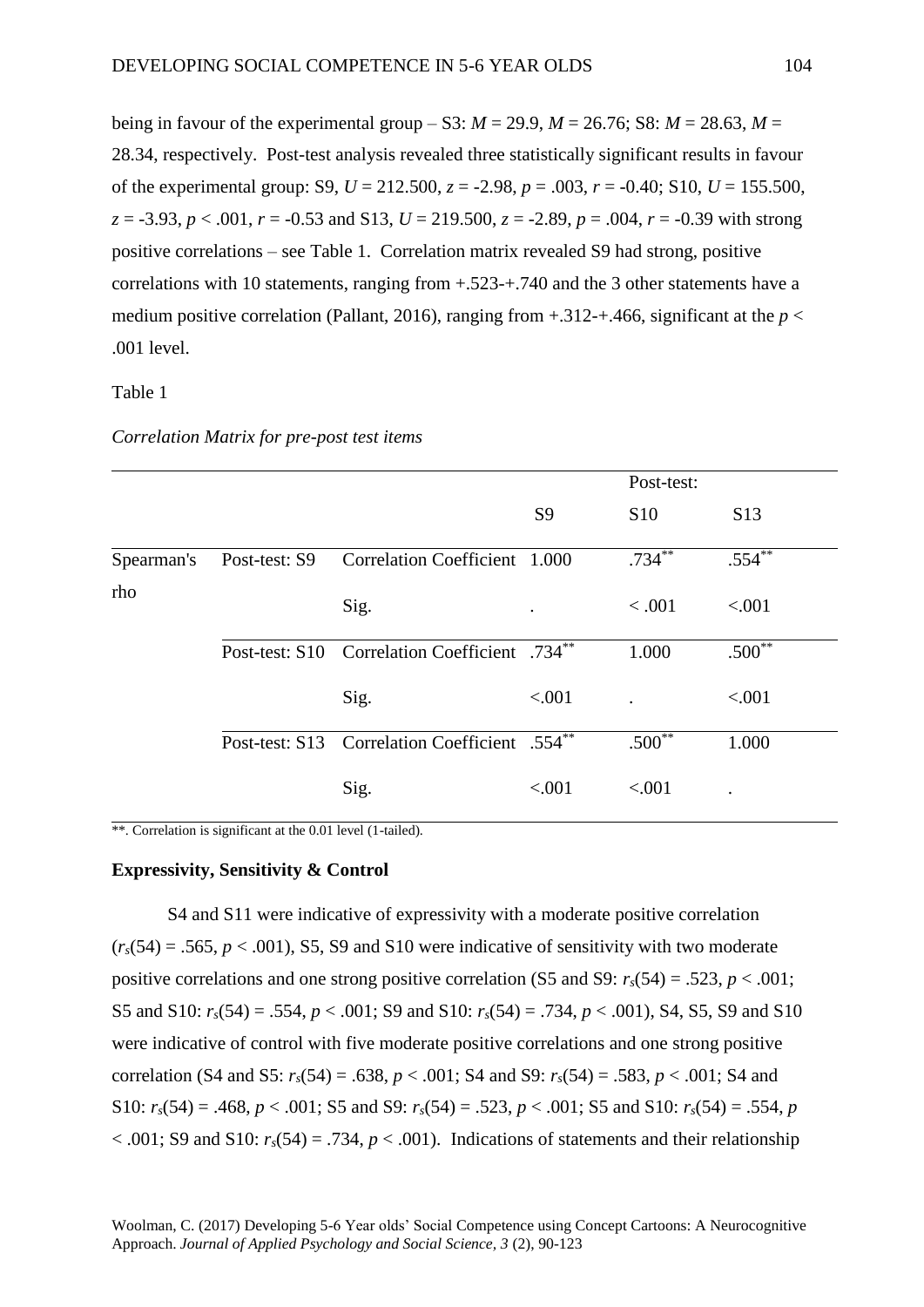being in favour of the experimental group – S3:  $M = 29.9$ ,  $M = 26.76$ ; S8:  $M = 28.63$ ,  $M =$ 28.34, respectively. Post-test analysis revealed three statistically significant results in favour of the experimental group: S9, *U* = 212.500, *z* = -2.98, *p* = .003, *r* = -0.40; S10, *U* = 155.500, *z* = -3.93, *p* < .001, *r* = -0.53 and S13, *U* = 219.500, *z* = -2.89, *p* = .004, *r* = -0.39 with strong positive correlations – see Table 1. Correlation matrix revealed S9 had strong, positive correlations with 10 statements, ranging from +.523-+.740 and the 3 other statements have a medium positive correlation (Pallant, 2016), ranging from  $+.312-.466$ , significant at the  $p <$ .001 level.

# Table 1

|            |               |                                               |                | Post-test: |                 |
|------------|---------------|-----------------------------------------------|----------------|------------|-----------------|
|            |               |                                               | S <sub>9</sub> | <b>S10</b> | S <sub>13</sub> |
| Spearman's | Post-test: S9 | Correlation Coefficient 1.000                 |                | $.734***$  | $.554***$       |
| rho        |               | Sig.                                          |                | < .001     | < .001          |
|            |               | Post-test: S10 Correlation Coefficient .734** |                | 1.000      | $.500**$        |
|            |               | Sig.                                          | < .001         |            | < .001          |
|            |               | Post-test: S13 Correlation Coefficient .554** |                | $.500**$   | 1.000           |
|            |               | Sig.                                          | < .001         | < .001     |                 |

# *Correlation Matrix for pre-post test items*

\*\*. Correlation is significant at the 0.01 level (1-tailed).

#### **Expressivity, Sensitivity & Control**

S4 and S11 were indicative of expressivity with a moderate positive correlation  $(r<sub>s</sub>(54) = .565, p < .001)$ , S5, S9 and S10 were indicative of sensitivity with two moderate positive correlations and one strong positive correlation (S5 and S9:  $r_s(54) = .523$ ,  $p < .001$ ; S5 and S10: *rs*(54) = .554, *p* < .001; S9 and S10: *rs*(54) = .734, *p* < .001), S4, S5, S9 and S10 were indicative of control with five moderate positive correlations and one strong positive correlation (S4 and S5:  $r_s(54) = .638$ ,  $p < .001$ ; S4 and S9:  $r_s(54) = .583$ ,  $p < .001$ ; S4 and S10: *rs*(54) = .468, *p* < .001; S5 and S9: *rs*(54) = .523, *p* < .001; S5 and S10: *rs*(54) = .554, *p*  $< .001$ ; S9 and S10:  $r_s(54) = .734$ ,  $p < .001$ ). Indications of statements and their relationship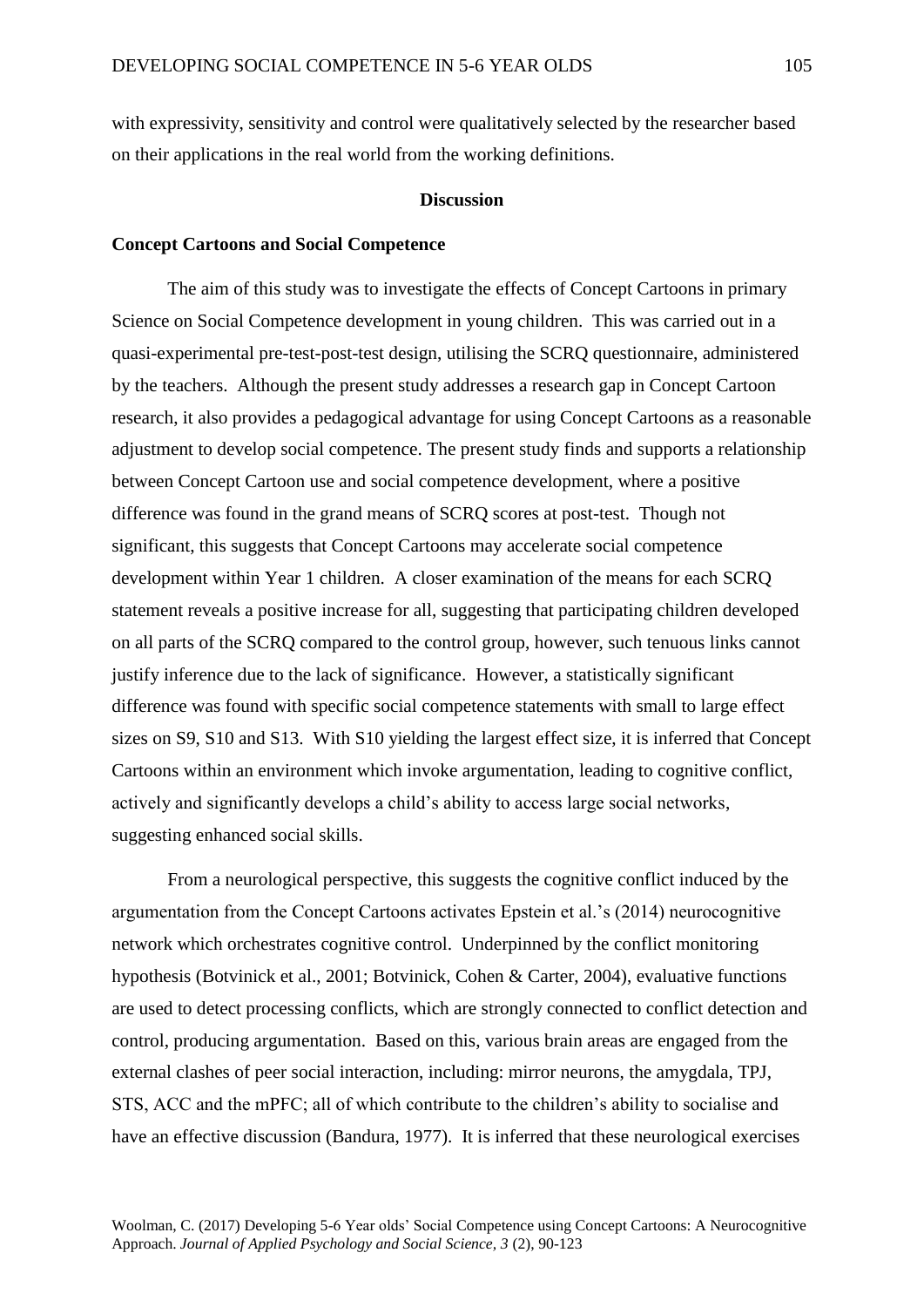with expressivity, sensitivity and control were qualitatively selected by the researcher based on their applications in the real world from the working definitions.

#### **Discussion**

#### **Concept Cartoons and Social Competence**

The aim of this study was to investigate the effects of Concept Cartoons in primary Science on Social Competence development in young children. This was carried out in a quasi-experimental pre-test-post-test design, utilising the SCRQ questionnaire, administered by the teachers. Although the present study addresses a research gap in Concept Cartoon research, it also provides a pedagogical advantage for using Concept Cartoons as a reasonable adjustment to develop social competence. The present study finds and supports a relationship between Concept Cartoon use and social competence development, where a positive difference was found in the grand means of SCRQ scores at post-test. Though not significant, this suggests that Concept Cartoons may accelerate social competence development within Year 1 children. A closer examination of the means for each SCRQ statement reveals a positive increase for all, suggesting that participating children developed on all parts of the SCRQ compared to the control group, however, such tenuous links cannot justify inference due to the lack of significance. However, a statistically significant difference was found with specific social competence statements with small to large effect sizes on S9, S10 and S13. With S10 yielding the largest effect size, it is inferred that Concept Cartoons within an environment which invoke argumentation, leading to cognitive conflict, actively and significantly develops a child's ability to access large social networks, suggesting enhanced social skills.

From a neurological perspective, this suggests the cognitive conflict induced by the argumentation from the Concept Cartoons activates Epstein et al.'s (2014) neurocognitive network which orchestrates cognitive control. Underpinned by the conflict monitoring hypothesis (Botvinick et al., 2001; Botvinick, Cohen & Carter, 2004), evaluative functions are used to detect processing conflicts, which are strongly connected to conflict detection and control, producing argumentation. Based on this, various brain areas are engaged from the external clashes of peer social interaction, including: mirror neurons, the amygdala, TPJ, STS, ACC and the mPFC; all of which contribute to the children's ability to socialise and have an effective discussion (Bandura, 1977). It is inferred that these neurological exercises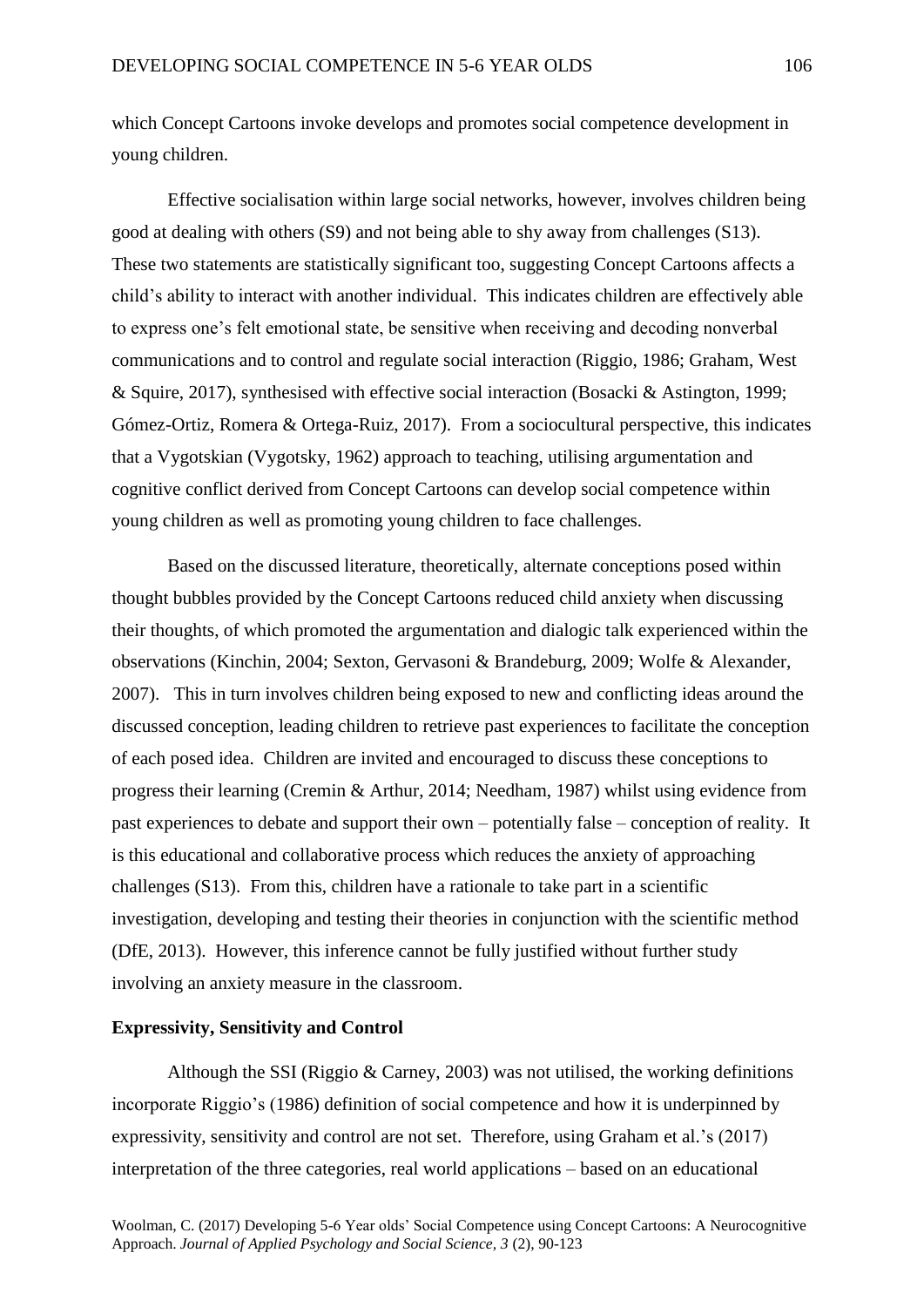which Concept Cartoons invoke develops and promotes social competence development in young children.

Effective socialisation within large social networks, however, involves children being good at dealing with others (S9) and not being able to shy away from challenges (S13). These two statements are statistically significant too, suggesting Concept Cartoons affects a child's ability to interact with another individual. This indicates children are effectively able to express one's felt emotional state, be sensitive when receiving and decoding nonverbal communications and to control and regulate social interaction (Riggio, 1986; Graham, West & Squire, 2017), synthesised with effective social interaction (Bosacki & Astington, 1999; Gómez-Ortiz, Romera & Ortega-Ruiz, 2017). From a sociocultural perspective, this indicates that a Vygotskian (Vygotsky, 1962) approach to teaching, utilising argumentation and cognitive conflict derived from Concept Cartoons can develop social competence within young children as well as promoting young children to face challenges.

Based on the discussed literature, theoretically, alternate conceptions posed within thought bubbles provided by the Concept Cartoons reduced child anxiety when discussing their thoughts, of which promoted the argumentation and dialogic talk experienced within the observations (Kinchin, 2004; Sexton, Gervasoni & Brandeburg, 2009; Wolfe & Alexander, 2007). This in turn involves children being exposed to new and conflicting ideas around the discussed conception, leading children to retrieve past experiences to facilitate the conception of each posed idea. Children are invited and encouraged to discuss these conceptions to progress their learning (Cremin & Arthur, 2014; Needham, 1987) whilst using evidence from past experiences to debate and support their own – potentially false – conception of reality. It is this educational and collaborative process which reduces the anxiety of approaching challenges (S13). From this, children have a rationale to take part in a scientific investigation, developing and testing their theories in conjunction with the scientific method (DfE, 2013). However, this inference cannot be fully justified without further study involving an anxiety measure in the classroom.

# **Expressivity, Sensitivity and Control**

Although the SSI (Riggio & Carney, 2003) was not utilised, the working definitions incorporate Riggio's (1986) definition of social competence and how it is underpinned by expressivity, sensitivity and control are not set. Therefore, using Graham et al.'s (2017) interpretation of the three categories, real world applications – based on an educational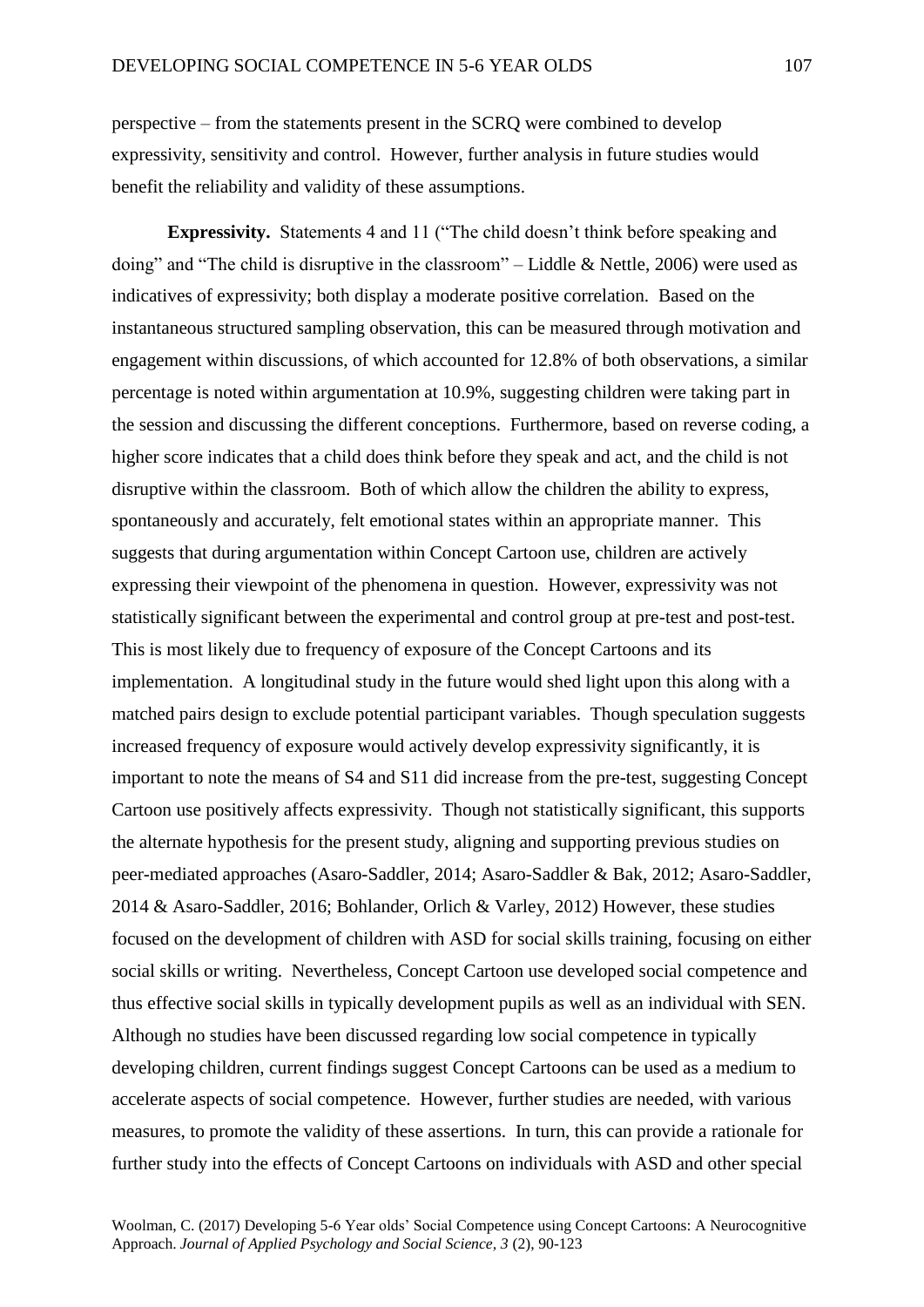perspective – from the statements present in the SCRQ were combined to develop expressivity, sensitivity and control. However, further analysis in future studies would benefit the reliability and validity of these assumptions.

**Expressivity.** Statements 4 and 11 ("The child doesn't think before speaking and doing" and "The child is disruptive in the classroom" – Liddle & Nettle, 2006) were used as indicatives of expressivity; both display a moderate positive correlation. Based on the instantaneous structured sampling observation, this can be measured through motivation and engagement within discussions, of which accounted for 12.8% of both observations, a similar percentage is noted within argumentation at 10.9%, suggesting children were taking part in the session and discussing the different conceptions. Furthermore, based on reverse coding, a higher score indicates that a child does think before they speak and act, and the child is not disruptive within the classroom. Both of which allow the children the ability to express, spontaneously and accurately, felt emotional states within an appropriate manner. This suggests that during argumentation within Concept Cartoon use, children are actively expressing their viewpoint of the phenomena in question. However, expressivity was not statistically significant between the experimental and control group at pre-test and post-test. This is most likely due to frequency of exposure of the Concept Cartoons and its implementation. A longitudinal study in the future would shed light upon this along with a matched pairs design to exclude potential participant variables. Though speculation suggests increased frequency of exposure would actively develop expressivity significantly, it is important to note the means of S4 and S11 did increase from the pre-test, suggesting Concept Cartoon use positively affects expressivity. Though not statistically significant, this supports the alternate hypothesis for the present study, aligning and supporting previous studies on peer-mediated approaches (Asaro-Saddler, 2014; Asaro-Saddler & Bak, 2012; Asaro-Saddler, 2014 & Asaro-Saddler, 2016; Bohlander, Orlich & Varley, 2012) However, these studies focused on the development of children with ASD for social skills training, focusing on either social skills or writing. Nevertheless, Concept Cartoon use developed social competence and thus effective social skills in typically development pupils as well as an individual with SEN. Although no studies have been discussed regarding low social competence in typically developing children, current findings suggest Concept Cartoons can be used as a medium to accelerate aspects of social competence. However, further studies are needed, with various measures, to promote the validity of these assertions. In turn, this can provide a rationale for further study into the effects of Concept Cartoons on individuals with ASD and other special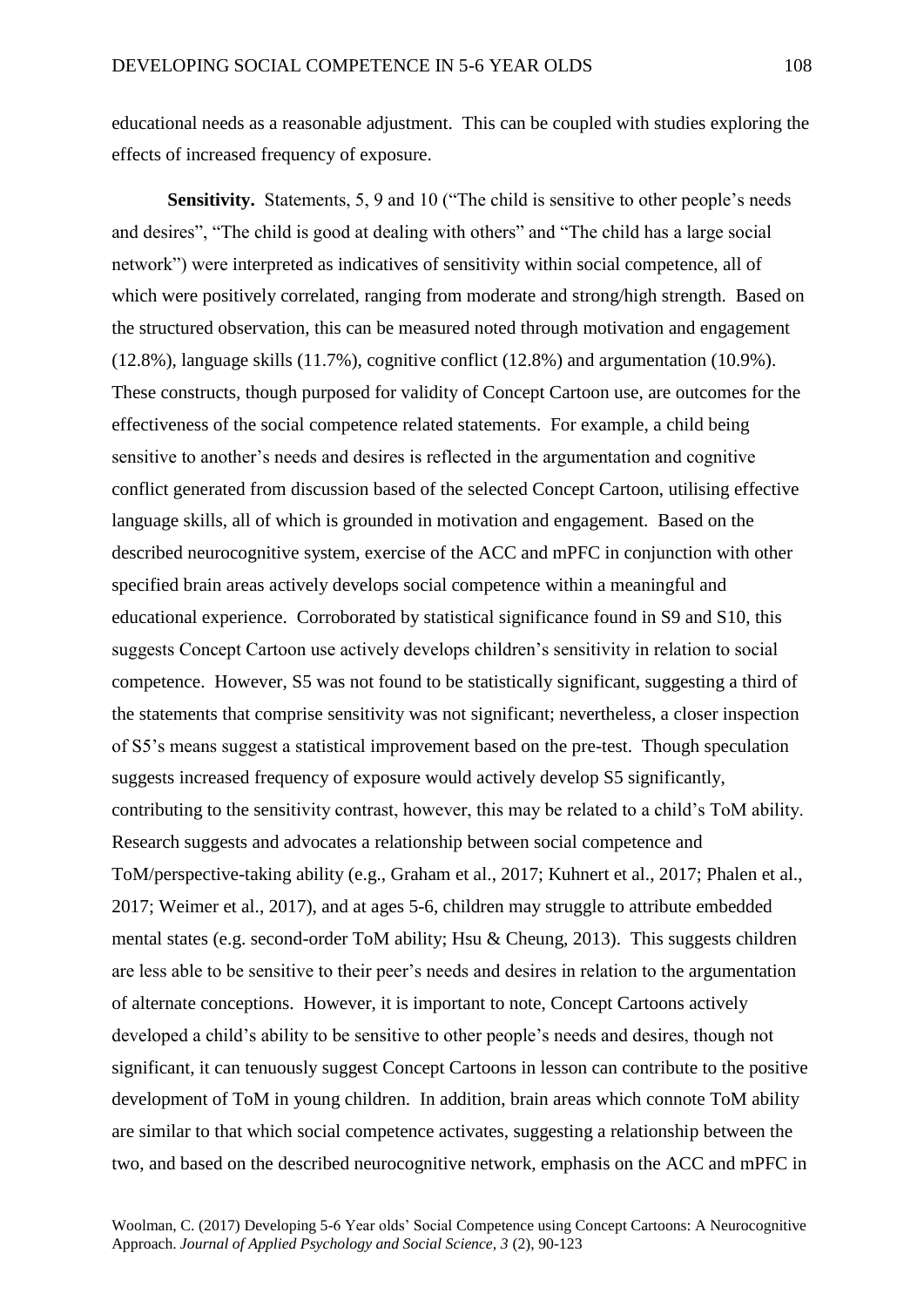educational needs as a reasonable adjustment. This can be coupled with studies exploring the effects of increased frequency of exposure.

**Sensitivity.** Statements, 5, 9 and 10 ("The child is sensitive to other people's needs") and desires", "The child is good at dealing with others" and "The child has a large social network") were interpreted as indicatives of sensitivity within social competence, all of which were positively correlated, ranging from moderate and strong/high strength. Based on the structured observation, this can be measured noted through motivation and engagement (12.8%), language skills (11.7%), cognitive conflict (12.8%) and argumentation (10.9%). These constructs, though purposed for validity of Concept Cartoon use, are outcomes for the effectiveness of the social competence related statements. For example, a child being sensitive to another's needs and desires is reflected in the argumentation and cognitive conflict generated from discussion based of the selected Concept Cartoon, utilising effective language skills, all of which is grounded in motivation and engagement. Based on the described neurocognitive system, exercise of the ACC and mPFC in conjunction with other specified brain areas actively develops social competence within a meaningful and educational experience. Corroborated by statistical significance found in S9 and S10, this suggests Concept Cartoon use actively develops children's sensitivity in relation to social competence. However, S5 was not found to be statistically significant, suggesting a third of the statements that comprise sensitivity was not significant; nevertheless, a closer inspection of S5's means suggest a statistical improvement based on the pre-test. Though speculation suggests increased frequency of exposure would actively develop S5 significantly, contributing to the sensitivity contrast, however, this may be related to a child's ToM ability. Research suggests and advocates a relationship between social competence and ToM/perspective-taking ability (e.g., Graham et al., 2017; Kuhnert et al., 2017; Phalen et al., 2017; Weimer et al., 2017), and at ages 5-6, children may struggle to attribute embedded mental states (e.g. second-order ToM ability; Hsu & Cheung, 2013). This suggests children are less able to be sensitive to their peer's needs and desires in relation to the argumentation of alternate conceptions. However, it is important to note, Concept Cartoons actively developed a child's ability to be sensitive to other people's needs and desires, though not significant, it can tenuously suggest Concept Cartoons in lesson can contribute to the positive development of ToM in young children. In addition, brain areas which connote ToM ability are similar to that which social competence activates, suggesting a relationship between the two, and based on the described neurocognitive network, emphasis on the ACC and mPFC in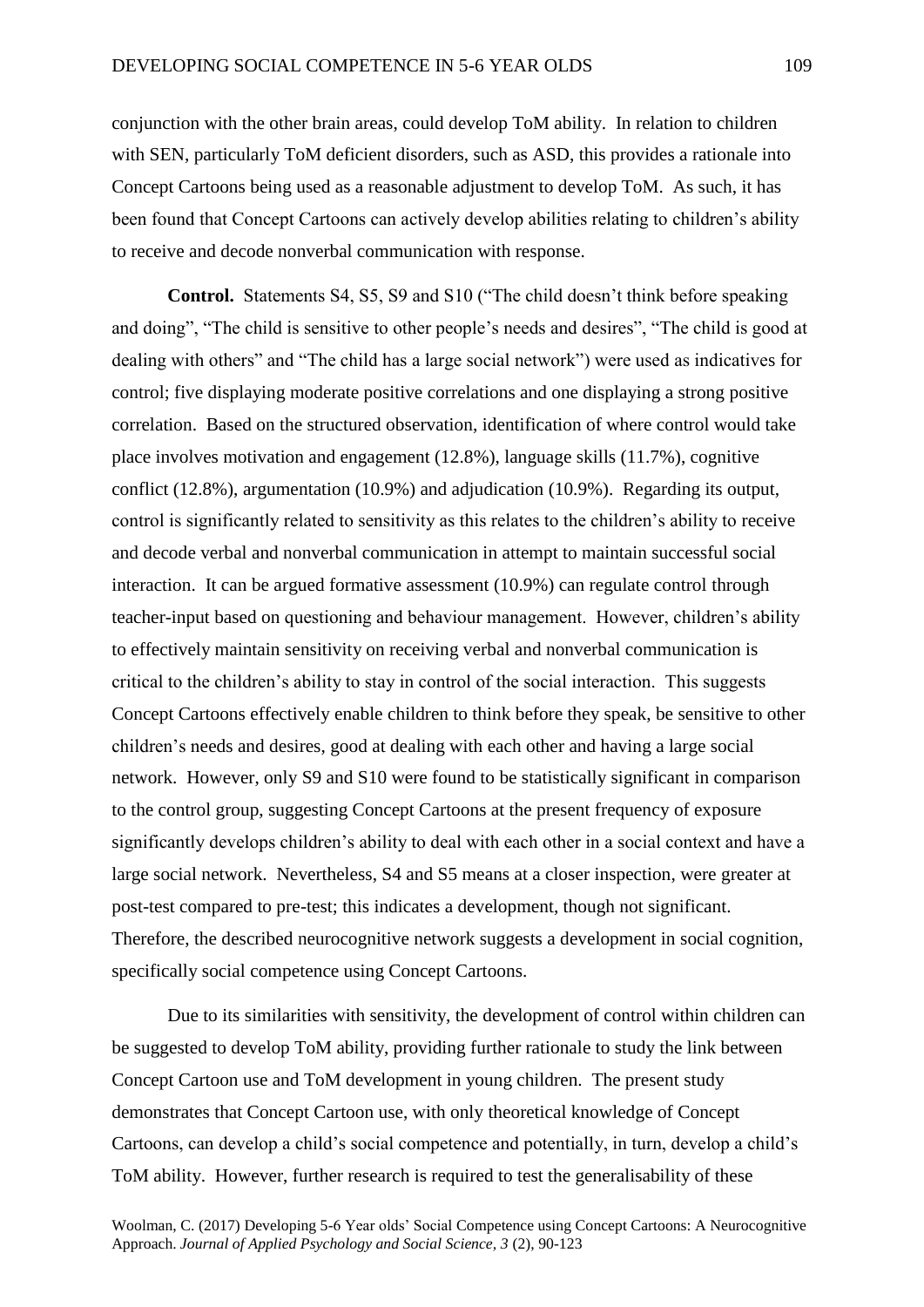conjunction with the other brain areas, could develop ToM ability. In relation to children with SEN, particularly ToM deficient disorders, such as ASD, this provides a rationale into Concept Cartoons being used as a reasonable adjustment to develop ToM. As such, it has been found that Concept Cartoons can actively develop abilities relating to children's ability to receive and decode nonverbal communication with response.

**Control.** Statements S4, S5, S9 and S10 ("The child doesn't think before speaking and doing", "The child is sensitive to other people's needs and desires", "The child is good at dealing with others" and "The child has a large social network") were used as indicatives for control; five displaying moderate positive correlations and one displaying a strong positive correlation. Based on the structured observation, identification of where control would take place involves motivation and engagement (12.8%), language skills (11.7%), cognitive conflict (12.8%), argumentation (10.9%) and adjudication (10.9%). Regarding its output, control is significantly related to sensitivity as this relates to the children's ability to receive and decode verbal and nonverbal communication in attempt to maintain successful social interaction. It can be argued formative assessment (10.9%) can regulate control through teacher-input based on questioning and behaviour management. However, children's ability to effectively maintain sensitivity on receiving verbal and nonverbal communication is critical to the children's ability to stay in control of the social interaction. This suggests Concept Cartoons effectively enable children to think before they speak, be sensitive to other children's needs and desires, good at dealing with each other and having a large social network. However, only S9 and S10 were found to be statistically significant in comparison to the control group, suggesting Concept Cartoons at the present frequency of exposure significantly develops children's ability to deal with each other in a social context and have a large social network. Nevertheless, S4 and S5 means at a closer inspection, were greater at post-test compared to pre-test; this indicates a development, though not significant. Therefore, the described neurocognitive network suggests a development in social cognition, specifically social competence using Concept Cartoons.

Due to its similarities with sensitivity, the development of control within children can be suggested to develop ToM ability, providing further rationale to study the link between Concept Cartoon use and ToM development in young children. The present study demonstrates that Concept Cartoon use, with only theoretical knowledge of Concept Cartoons, can develop a child's social competence and potentially, in turn, develop a child's ToM ability. However, further research is required to test the generalisability of these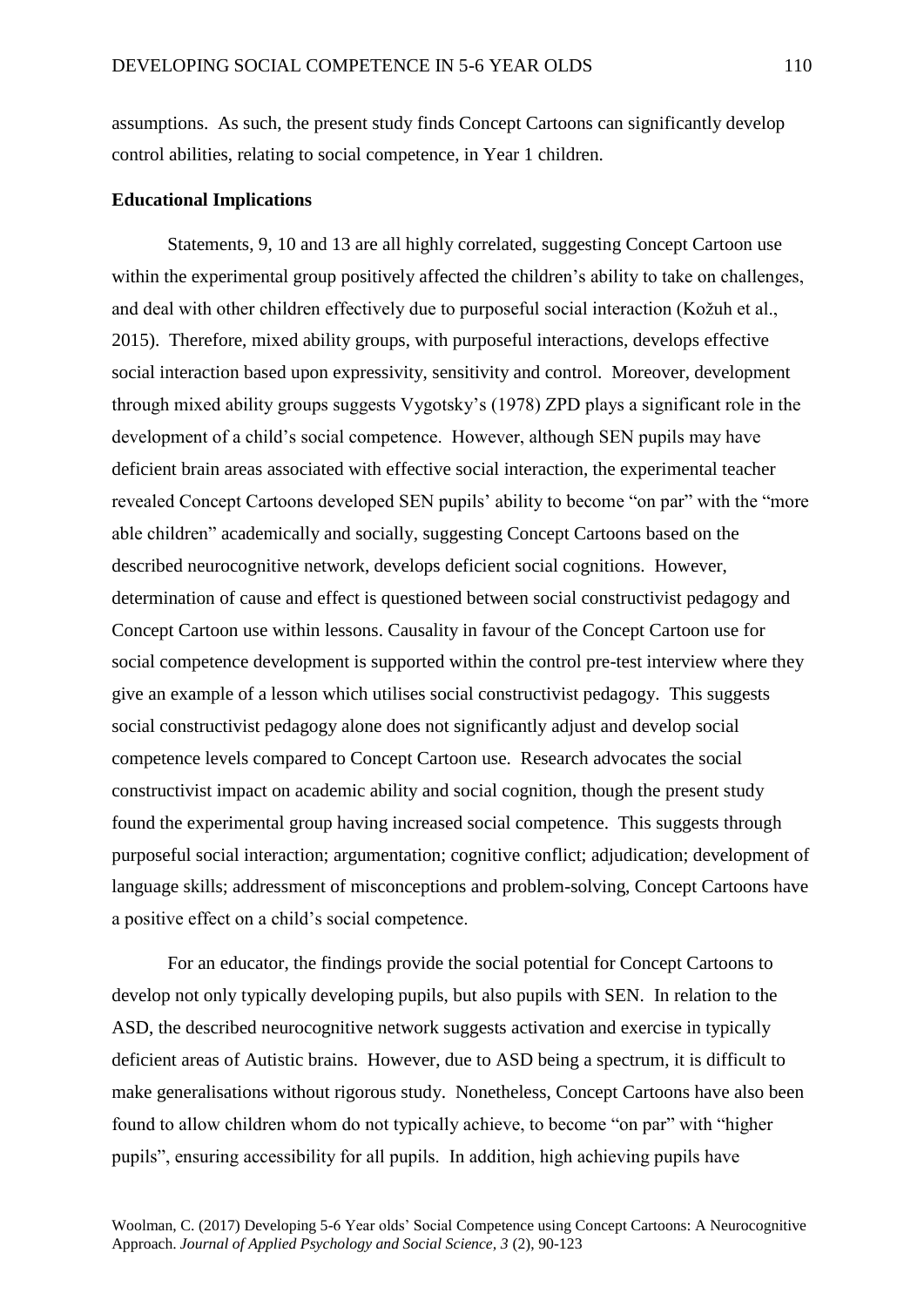assumptions. As such, the present study finds Concept Cartoons can significantly develop control abilities, relating to social competence, in Year 1 children.

# **Educational Implications**

Statements, 9, 10 and 13 are all highly correlated, suggesting Concept Cartoon use within the experimental group positively affected the children's ability to take on challenges, and deal with other children effectively due to purposeful social interaction (Kožuh et al., 2015). Therefore, mixed ability groups, with purposeful interactions, develops effective social interaction based upon expressivity, sensitivity and control. Moreover, development through mixed ability groups suggests Vygotsky's (1978) ZPD plays a significant role in the development of a child's social competence. However, although SEN pupils may have deficient brain areas associated with effective social interaction, the experimental teacher revealed Concept Cartoons developed SEN pupils' ability to become "on par" with the "more able children" academically and socially, suggesting Concept Cartoons based on the described neurocognitive network, develops deficient social cognitions. However, determination of cause and effect is questioned between social constructivist pedagogy and Concept Cartoon use within lessons. Causality in favour of the Concept Cartoon use for social competence development is supported within the control pre-test interview where they give an example of a lesson which utilises social constructivist pedagogy. This suggests social constructivist pedagogy alone does not significantly adjust and develop social competence levels compared to Concept Cartoon use. Research advocates the social constructivist impact on academic ability and social cognition, though the present study found the experimental group having increased social competence. This suggests through purposeful social interaction; argumentation; cognitive conflict; adjudication; development of language skills; addressment of misconceptions and problem-solving, Concept Cartoons have a positive effect on a child's social competence.

For an educator, the findings provide the social potential for Concept Cartoons to develop not only typically developing pupils, but also pupils with SEN. In relation to the ASD, the described neurocognitive network suggests activation and exercise in typically deficient areas of Autistic brains. However, due to ASD being a spectrum, it is difficult to make generalisations without rigorous study. Nonetheless, Concept Cartoons have also been found to allow children whom do not typically achieve, to become "on par" with "higher pupils", ensuring accessibility for all pupils. In addition, high achieving pupils have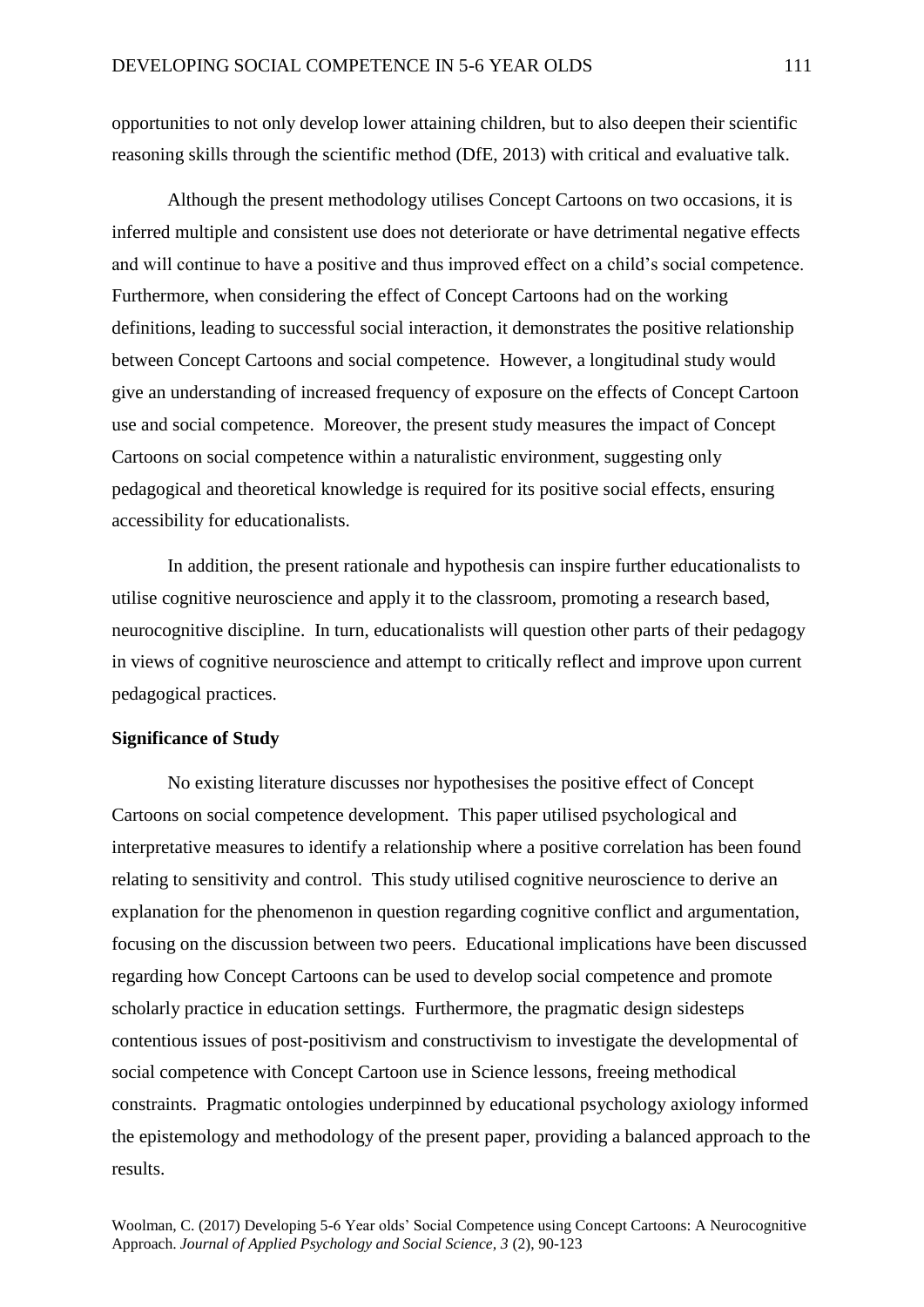opportunities to not only develop lower attaining children, but to also deepen their scientific reasoning skills through the scientific method (DfE, 2013) with critical and evaluative talk.

Although the present methodology utilises Concept Cartoons on two occasions, it is inferred multiple and consistent use does not deteriorate or have detrimental negative effects and will continue to have a positive and thus improved effect on a child's social competence. Furthermore, when considering the effect of Concept Cartoons had on the working definitions, leading to successful social interaction, it demonstrates the positive relationship between Concept Cartoons and social competence. However, a longitudinal study would give an understanding of increased frequency of exposure on the effects of Concept Cartoon use and social competence. Moreover, the present study measures the impact of Concept Cartoons on social competence within a naturalistic environment, suggesting only pedagogical and theoretical knowledge is required for its positive social effects, ensuring accessibility for educationalists.

In addition, the present rationale and hypothesis can inspire further educationalists to utilise cognitive neuroscience and apply it to the classroom, promoting a research based, neurocognitive discipline. In turn, educationalists will question other parts of their pedagogy in views of cognitive neuroscience and attempt to critically reflect and improve upon current pedagogical practices.

# **Significance of Study**

No existing literature discusses nor hypothesises the positive effect of Concept Cartoons on social competence development. This paper utilised psychological and interpretative measures to identify a relationship where a positive correlation has been found relating to sensitivity and control. This study utilised cognitive neuroscience to derive an explanation for the phenomenon in question regarding cognitive conflict and argumentation, focusing on the discussion between two peers. Educational implications have been discussed regarding how Concept Cartoons can be used to develop social competence and promote scholarly practice in education settings. Furthermore, the pragmatic design sidesteps contentious issues of post-positivism and constructivism to investigate the developmental of social competence with Concept Cartoon use in Science lessons, freeing methodical constraints. Pragmatic ontologies underpinned by educational psychology axiology informed the epistemology and methodology of the present paper, providing a balanced approach to the results.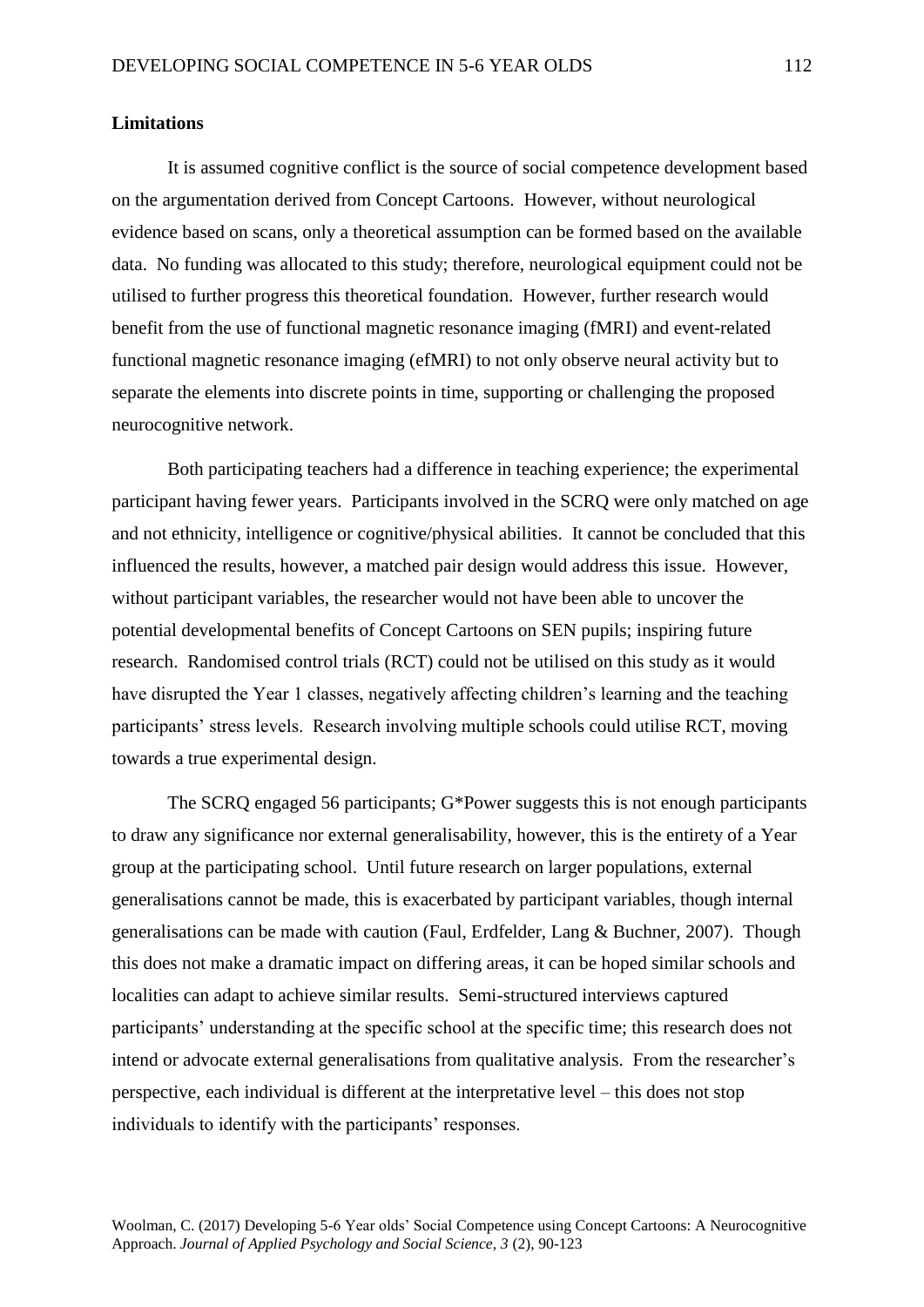# **Limitations**

It is assumed cognitive conflict is the source of social competence development based on the argumentation derived from Concept Cartoons. However, without neurological evidence based on scans, only a theoretical assumption can be formed based on the available data. No funding was allocated to this study; therefore, neurological equipment could not be utilised to further progress this theoretical foundation. However, further research would benefit from the use of functional magnetic resonance imaging (fMRI) and event-related functional magnetic resonance imaging (efMRI) to not only observe neural activity but to separate the elements into discrete points in time, supporting or challenging the proposed neurocognitive network.

Both participating teachers had a difference in teaching experience; the experimental participant having fewer years. Participants involved in the SCRQ were only matched on age and not ethnicity, intelligence or cognitive/physical abilities. It cannot be concluded that this influenced the results, however, a matched pair design would address this issue. However, without participant variables, the researcher would not have been able to uncover the potential developmental benefits of Concept Cartoons on SEN pupils; inspiring future research. Randomised control trials (RCT) could not be utilised on this study as it would have disrupted the Year 1 classes, negatively affecting children's learning and the teaching participants' stress levels. Research involving multiple schools could utilise RCT, moving towards a true experimental design.

The SCRQ engaged 56 participants; G\*Power suggests this is not enough participants to draw any significance nor external generalisability, however, this is the entirety of a Year group at the participating school. Until future research on larger populations, external generalisations cannot be made, this is exacerbated by participant variables, though internal generalisations can be made with caution (Faul, Erdfelder, Lang & Buchner, 2007). Though this does not make a dramatic impact on differing areas, it can be hoped similar schools and localities can adapt to achieve similar results. Semi-structured interviews captured participants' understanding at the specific school at the specific time; this research does not intend or advocate external generalisations from qualitative analysis. From the researcher's perspective, each individual is different at the interpretative level – this does not stop individuals to identify with the participants' responses.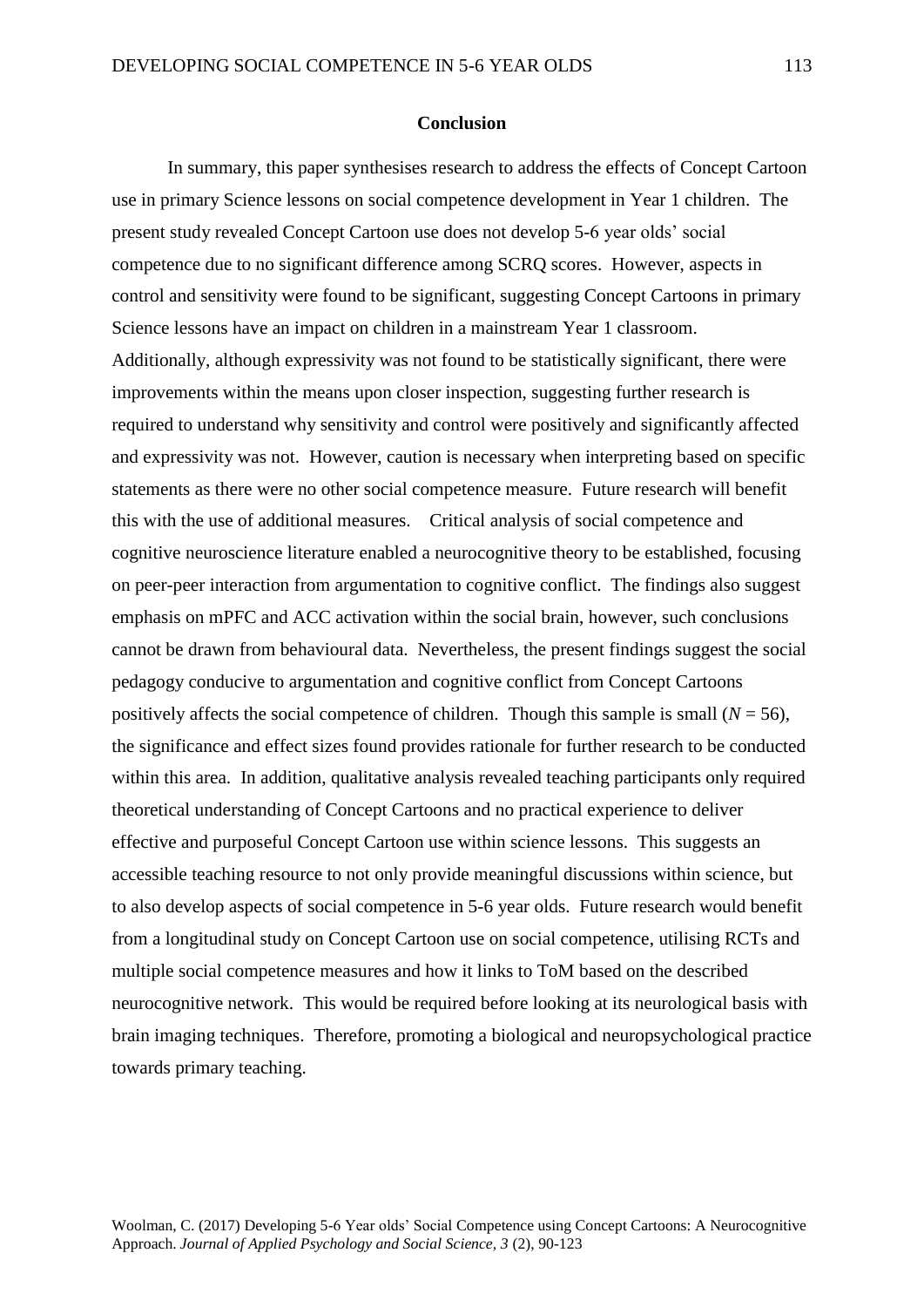#### **Conclusion**

In summary, this paper synthesises research to address the effects of Concept Cartoon use in primary Science lessons on social competence development in Year 1 children. The present study revealed Concept Cartoon use does not develop 5-6 year olds' social competence due to no significant difference among SCRQ scores. However, aspects in control and sensitivity were found to be significant, suggesting Concept Cartoons in primary Science lessons have an impact on children in a mainstream Year 1 classroom. Additionally, although expressivity was not found to be statistically significant, there were improvements within the means upon closer inspection, suggesting further research is required to understand why sensitivity and control were positively and significantly affected and expressivity was not. However, caution is necessary when interpreting based on specific statements as there were no other social competence measure. Future research will benefit this with the use of additional measures. Critical analysis of social competence and cognitive neuroscience literature enabled a neurocognitive theory to be established, focusing on peer-peer interaction from argumentation to cognitive conflict. The findings also suggest emphasis on mPFC and ACC activation within the social brain, however, such conclusions cannot be drawn from behavioural data. Nevertheless, the present findings suggest the social pedagogy conducive to argumentation and cognitive conflict from Concept Cartoons positively affects the social competence of children. Though this sample is small ( $N = 56$ ), the significance and effect sizes found provides rationale for further research to be conducted within this area. In addition, qualitative analysis revealed teaching participants only required theoretical understanding of Concept Cartoons and no practical experience to deliver effective and purposeful Concept Cartoon use within science lessons. This suggests an accessible teaching resource to not only provide meaningful discussions within science, but to also develop aspects of social competence in 5-6 year olds. Future research would benefit from a longitudinal study on Concept Cartoon use on social competence, utilising RCTs and multiple social competence measures and how it links to ToM based on the described neurocognitive network. This would be required before looking at its neurological basis with brain imaging techniques. Therefore, promoting a biological and neuropsychological practice towards primary teaching.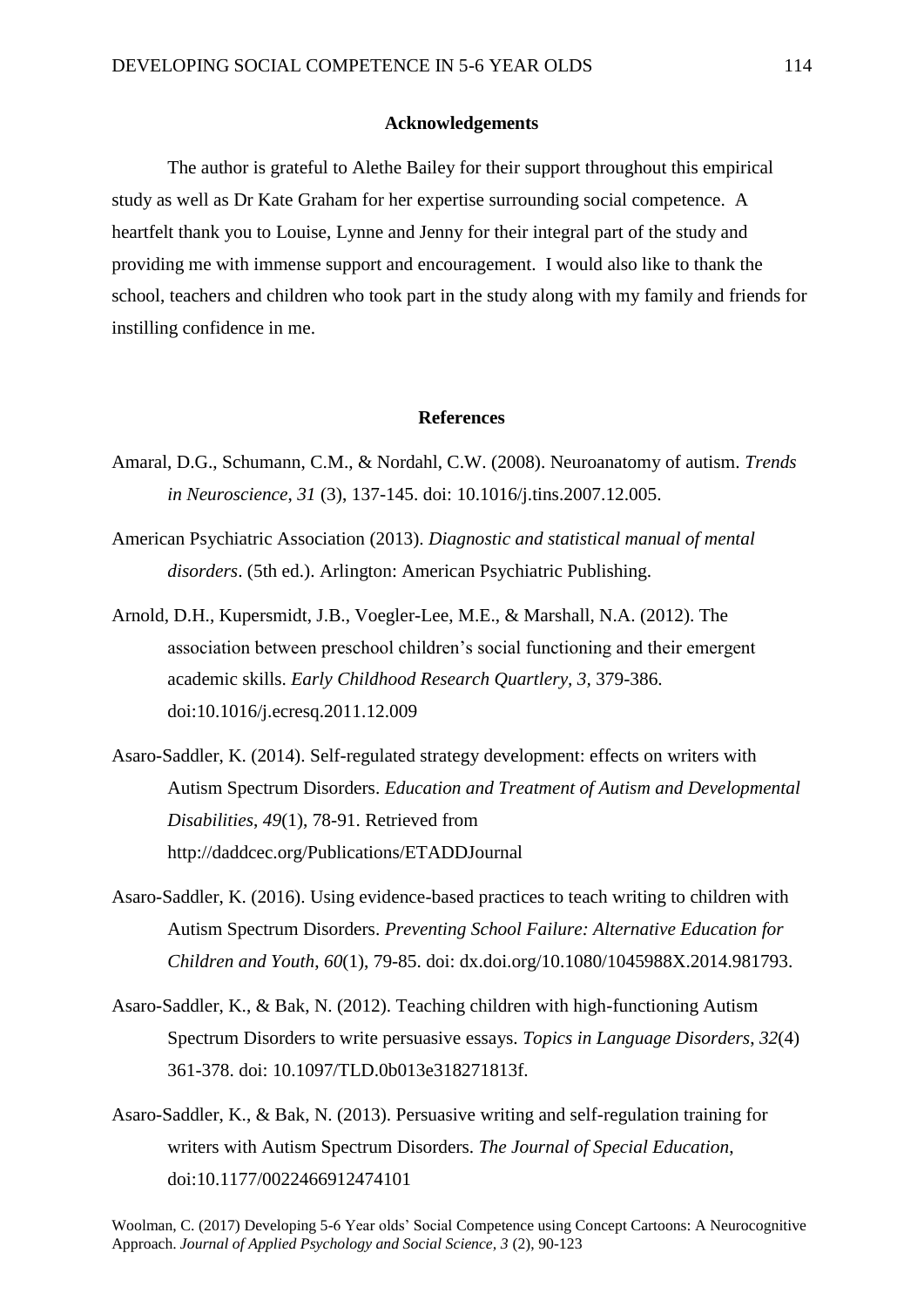### **Acknowledgements**

The author is grateful to Alethe Bailey for their support throughout this empirical study as well as Dr Kate Graham for her expertise surrounding social competence. A heartfelt thank you to Louise, Lynne and Jenny for their integral part of the study and providing me with immense support and encouragement. I would also like to thank the school, teachers and children who took part in the study along with my family and friends for instilling confidence in me.

#### **References**

- Amaral, D.G., Schumann, C.M., & Nordahl, C.W. (2008). Neuroanatomy of autism. *Trends in Neuroscience*, *31* (3), 137-145. doi: 10.1016/j.tins.2007.12.005.
- American Psychiatric Association (2013). *Diagnostic and statistical manual of mental disorders*. (5th ed.). Arlington: American Psychiatric Publishing.
- Arnold, D.H., Kupersmidt, J.B., Voegler-Lee, M.E., & Marshall, N.A. (2012). The association between preschool children's social functioning and their emergent academic skills. *Early Childhood Research Quartlery, 3,* 379-386. doi:10.1016/j.ecresq.2011.12.009
- Asaro-Saddler, K. (2014). Self-regulated strategy development: effects on writers with Autism Spectrum Disorders. *Education and Treatment of Autism and Developmental Disabilities*, *49*(1), 78-91. Retrieved from http://daddcec.org/Publications/ETADDJournal
- Asaro-Saddler, K. (2016). Using evidence-based practices to teach writing to children with Autism Spectrum Disorders. *Preventing School Failure: Alternative Education for Children and Youth*, *60*(1), 79-85. doi: dx.doi.org/10.1080/1045988X.2014.981793.
- Asaro-Saddler, K., & Bak, N. (2012). Teaching children with high-functioning Autism Spectrum Disorders to write persuasive essays. *Topics in Language Disorders*, *32*(4) 361-378. doi: 10.1097/TLD.0b013e318271813f.
- Asaro-Saddler, K., & Bak, N. (2013). Persuasive writing and self-regulation training for writers with Autism Spectrum Disorders. *The Journal of Special Education*, doi:10.1177/0022466912474101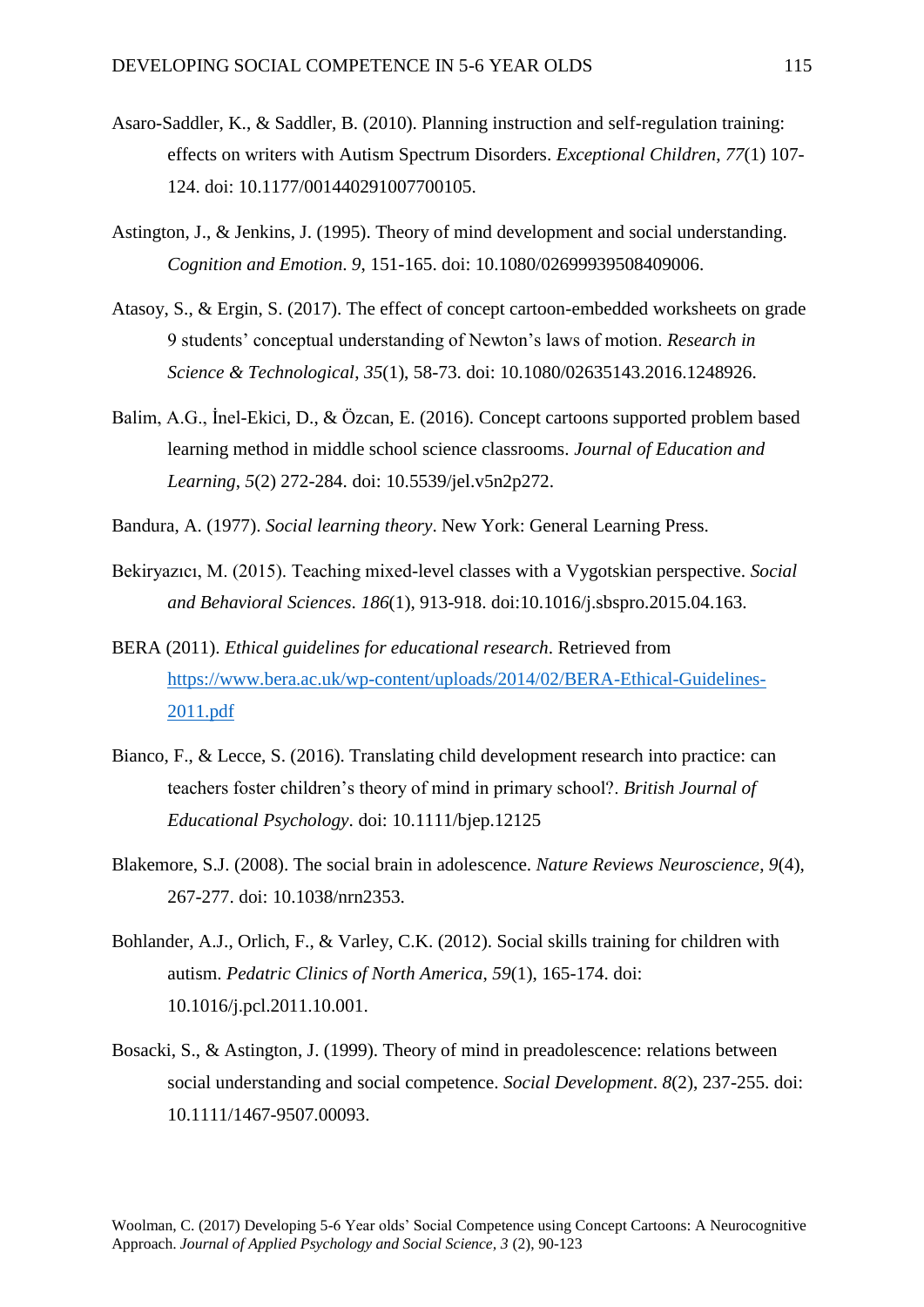- Asaro-Saddler, K., & Saddler, B. (2010). Planning instruction and self-regulation training: effects on writers with Autism Spectrum Disorders. *Exceptional Children*, *77*(1) 107- 124. doi: 10.1177/001440291007700105.
- Astington, J., & Jenkins, J. (1995). Theory of mind development and social understanding. *Cognition and Emotion*. *9*, 151-165. doi: 10.1080/02699939508409006.
- Atasoy, S., & Ergin, S. (2017). The effect of concept cartoon-embedded worksheets on grade 9 students' conceptual understanding of Newton's laws of motion. *Research in Science & Technological*, *35*(1), 58-73. doi: 10.1080/02635143.2016.1248926.
- Balim, A.G., İnel-Ekici, D., & Özcan, E. (2016). Concept cartoons supported problem based learning method in middle school science classrooms. *Journal of Education and Learning*, *5*(2) 272-284. doi: 10.5539/jel.v5n2p272.
- Bandura, A. (1977). *Social learning theory*. New York: General Learning Press.
- Bekiryazıcı, M. (2015). Teaching mixed-level classes with a Vygotskian perspective. *Social and Behavioral Sciences*. *186*(1), 913-918. doi:10.1016/j.sbspro.2015.04.163.
- BERA (2011). *Ethical guidelines for educational research*. Retrieved from [https://www.bera.ac.uk/wp-content/uploads/2014/02/BERA-Ethical-Guidelines-](https://www.bera.ac.uk/wp-content/uploads/2014/02/BERA-Ethical-Guidelines-2011.pdf)[2011.pdf](https://www.bera.ac.uk/wp-content/uploads/2014/02/BERA-Ethical-Guidelines-2011.pdf)
- Bianco, F., & Lecce, S. (2016). Translating child development research into practice: can teachers foster children's theory of mind in primary school?. *British Journal of Educational Psychology*. doi: 10.1111/bjep.12125
- Blakemore, S.J. (2008). The social brain in adolescence. *Nature Reviews Neuroscience*, *9*(4), 267-277. doi: 10.1038/nrn2353.
- Bohlander, A.J., Orlich, F., & Varley, C.K. (2012). Social skills training for children with autism. *Pedatric Clinics of North America*, *59*(1), 165-174. doi: 10.1016/j.pcl.2011.10.001.
- Bosacki, S., & Astington, J. (1999). Theory of mind in preadolescence: relations between social understanding and social competence. *Social Development*. *8*(2), 237-255. doi: 10.1111/1467-9507.00093.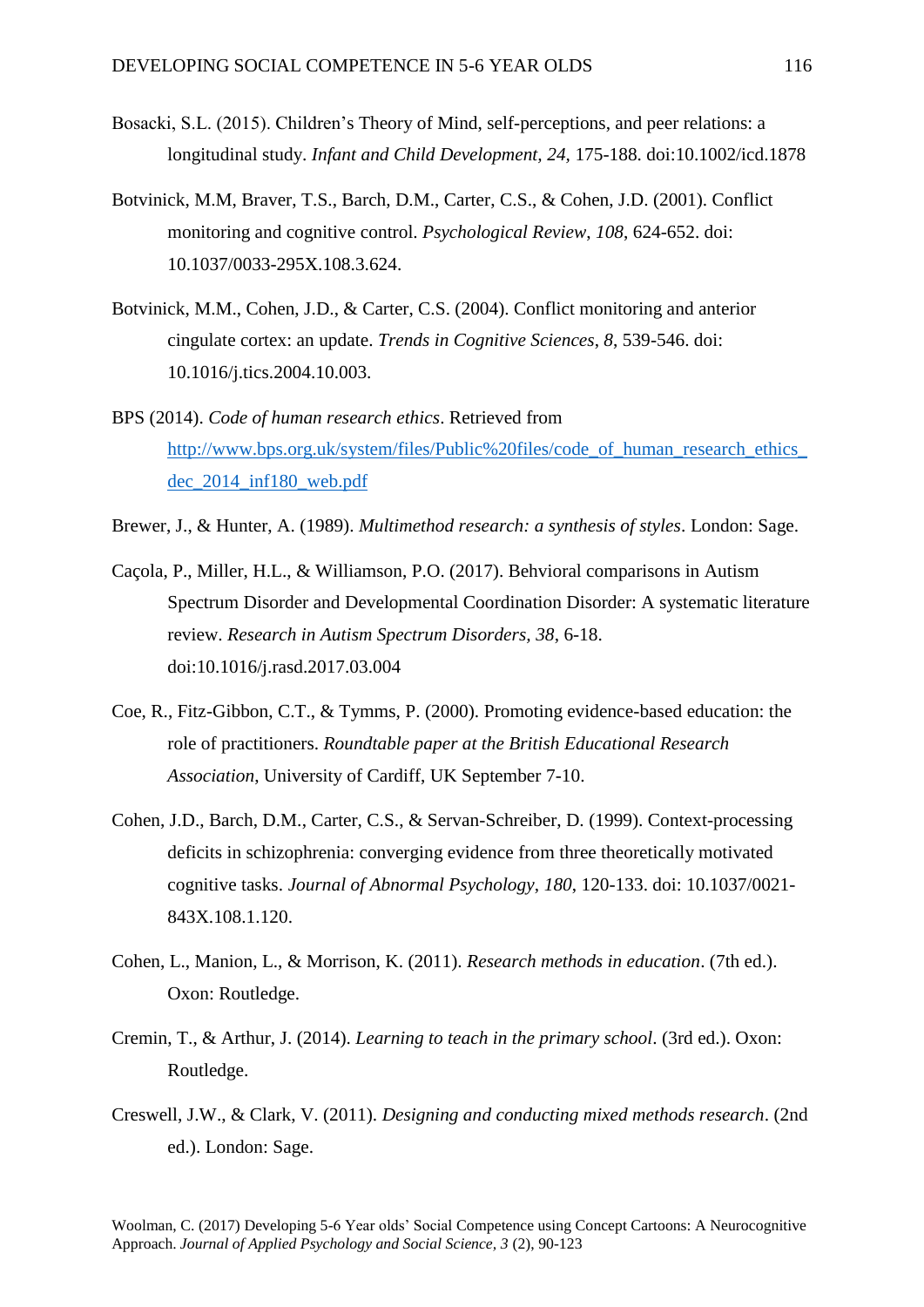- Bosacki, S.L. (2015). Children's Theory of Mind, self-perceptions, and peer relations: a longitudinal study. *Infant and Child Development, 24,* 175-188. doi:10.1002/icd.1878
- Botvinick, M.M, Braver, T.S., Barch, D.M., Carter, C.S., & Cohen, J.D. (2001). Conflict monitoring and cognitive control. *Psychological Review*, *108*, 624-652. doi: 10.1037/0033-295X.108.3.624.
- Botvinick, M.M., Cohen, J.D., & Carter, C.S. (2004). Conflict monitoring and anterior cingulate cortex: an update. *Trends in Cognitive Sciences*, *8*, 539-546. doi: 10.1016/j.tics.2004.10.003.
- BPS (2014). *Code of human research ethics*. Retrieved from http://www.bps.org.uk/system/files/Public%20files/code\_of\_human\_research\_ethics [dec\\_2014\\_inf180\\_web.pdf](http://www.bps.org.uk/system/files/Public%20files/code_of_human_research_ethics_dec_2014_inf180_web.pdf)
- Brewer, J., & Hunter, A. (1989). *Multimethod research: a synthesis of styles*. London: Sage.
- Caçola, P., Miller, H.L., & Williamson, P.O. (2017). Behvioral comparisons in Autism Spectrum Disorder and Developmental Coordination Disorder: A systematic literature review. *Research in Autism Spectrum Disorders, 38*, 6-18. doi:10.1016/j.rasd.2017.03.004
- Coe, R., Fitz-Gibbon, C.T., & Tymms, P. (2000). Promoting evidence-based education: the role of practitioners. *Roundtable paper at the British Educational Research Association*, University of Cardiff, UK September 7-10.
- Cohen, J.D., Barch, D.M., Carter, C.S., & Servan-Schreiber, D. (1999). Context-processing deficits in schizophrenia: converging evidence from three theoretically motivated cognitive tasks. *Journal of Abnormal Psychology*, *180*, 120-133. doi: 10.1037/0021- 843X.108.1.120.
- Cohen, L., Manion, L., & Morrison, K. (2011). *Research methods in education*. (7th ed.). Oxon: Routledge.
- Cremin, T., & Arthur, J. (2014). *Learning to teach in the primary school*. (3rd ed.). Oxon: Routledge.
- Creswell, J.W., & Clark, V. (2011). *Designing and conducting mixed methods research*. (2nd ed.). London: Sage.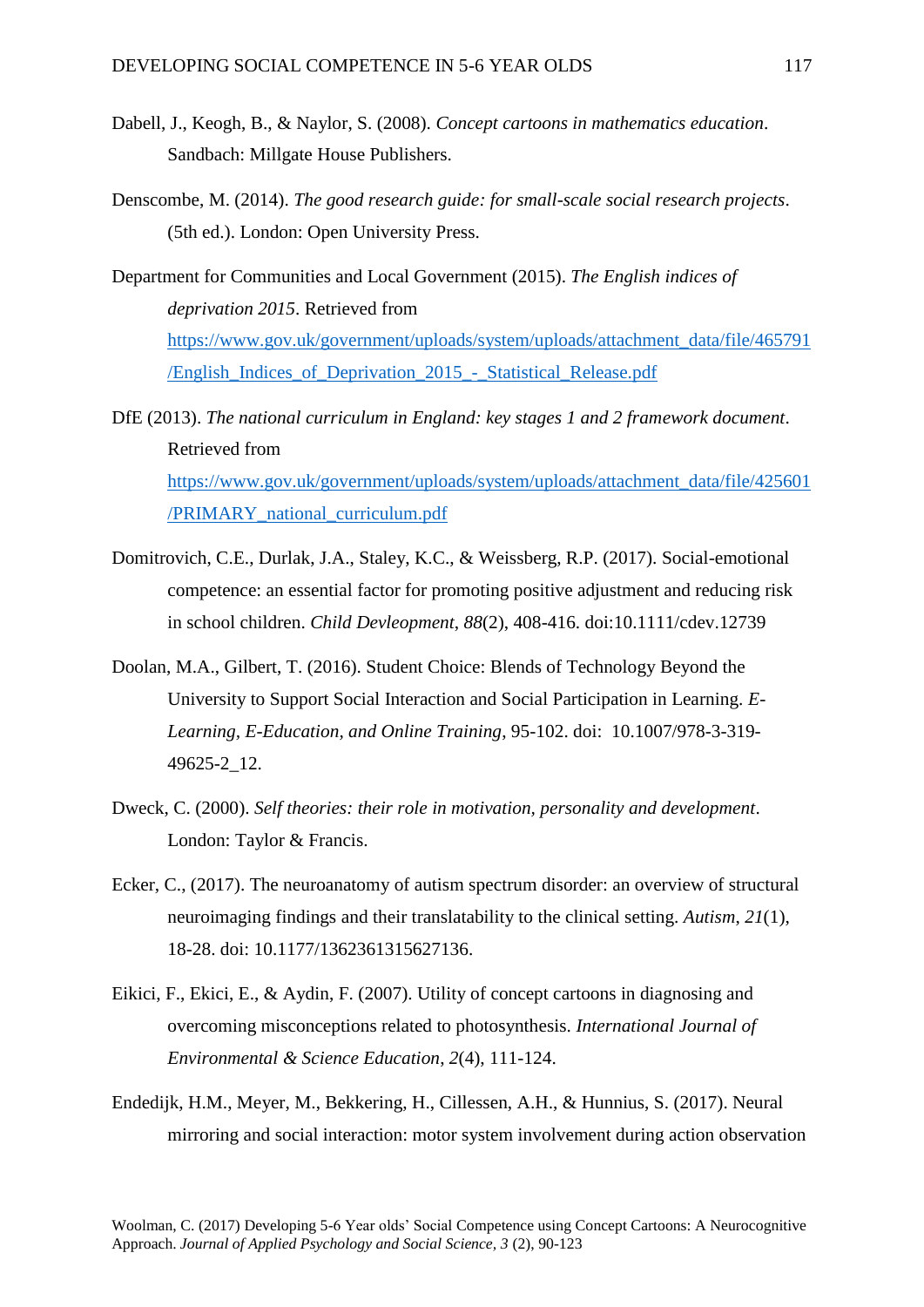- Dabell, J., Keogh, B., & Naylor, S. (2008). *Concept cartoons in mathematics education*. Sandbach: Millgate House Publishers.
- Denscombe, M. (2014). *The good research guide: for small-scale social research projects*. (5th ed.). London: Open University Press.
- Department for Communities and Local Government (2015). *The English indices of deprivation 2015*. Retrieved from [https://www.gov.uk/government/uploads/system/uploads/attachment\\_data/file/465791](https://www.gov.uk/government/uploads/system/uploads/attachment_data/file/465791/English_Indices_of_Deprivation_2015_-_Statistical_Release.pdf) [/English\\_Indices\\_of\\_Deprivation\\_2015\\_-\\_Statistical\\_Release.pdf](https://www.gov.uk/government/uploads/system/uploads/attachment_data/file/465791/English_Indices_of_Deprivation_2015_-_Statistical_Release.pdf)

DfE (2013). *The national curriculum in England: key stages 1 and 2 framework document*. Retrieved from [https://www.gov.uk/government/uploads/system/uploads/attachment\\_data/file/425601](https://www.gov.uk/government/uploads/system/uploads/attachment_data/file/425601/PRIMARY_national_curriculum.pdf) [/PRIMARY\\_national\\_curriculum.pdf](https://www.gov.uk/government/uploads/system/uploads/attachment_data/file/425601/PRIMARY_national_curriculum.pdf)

- Domitrovich, C.E., Durlak, J.A., Staley, K.C., & Weissberg, R.P. (2017). Social-emotional competence: an essential factor for promoting positive adjustment and reducing risk in school children. *Child Devleopment*, *88*(2), 408-416. doi:10.1111/cdev.12739
- Doolan, M.A., Gilbert, T. (2016). Student Choice: Blends of Technology Beyond the University to Support Social Interaction and Social Participation in Learning. *E-Learning, E-Education, and Online Training*, 95-102. doi: 10.1007/978-3-319- 49625-2\_12.
- Dweck, C. (2000). *Self theories: their role in motivation, personality and development*. London: Taylor & Francis.
- Ecker, C., (2017). The neuroanatomy of autism spectrum disorder: an overview of structural neuroimaging findings and their translatability to the clinical setting. *Autism*, *21*(1), 18-28. doi: 10.1177/1362361315627136.
- Eikici, F., Ekici, E., & Aydin, F. (2007). Utility of concept cartoons in diagnosing and overcoming misconceptions related to photosynthesis. *International Journal of Environmental & Science Education*, *2*(4), 111-124.
- Endedijk, H.M., Meyer, M., Bekkering, H., Cillessen, A.H., & Hunnius, S. (2017). Neural mirroring and social interaction: motor system involvement during action observation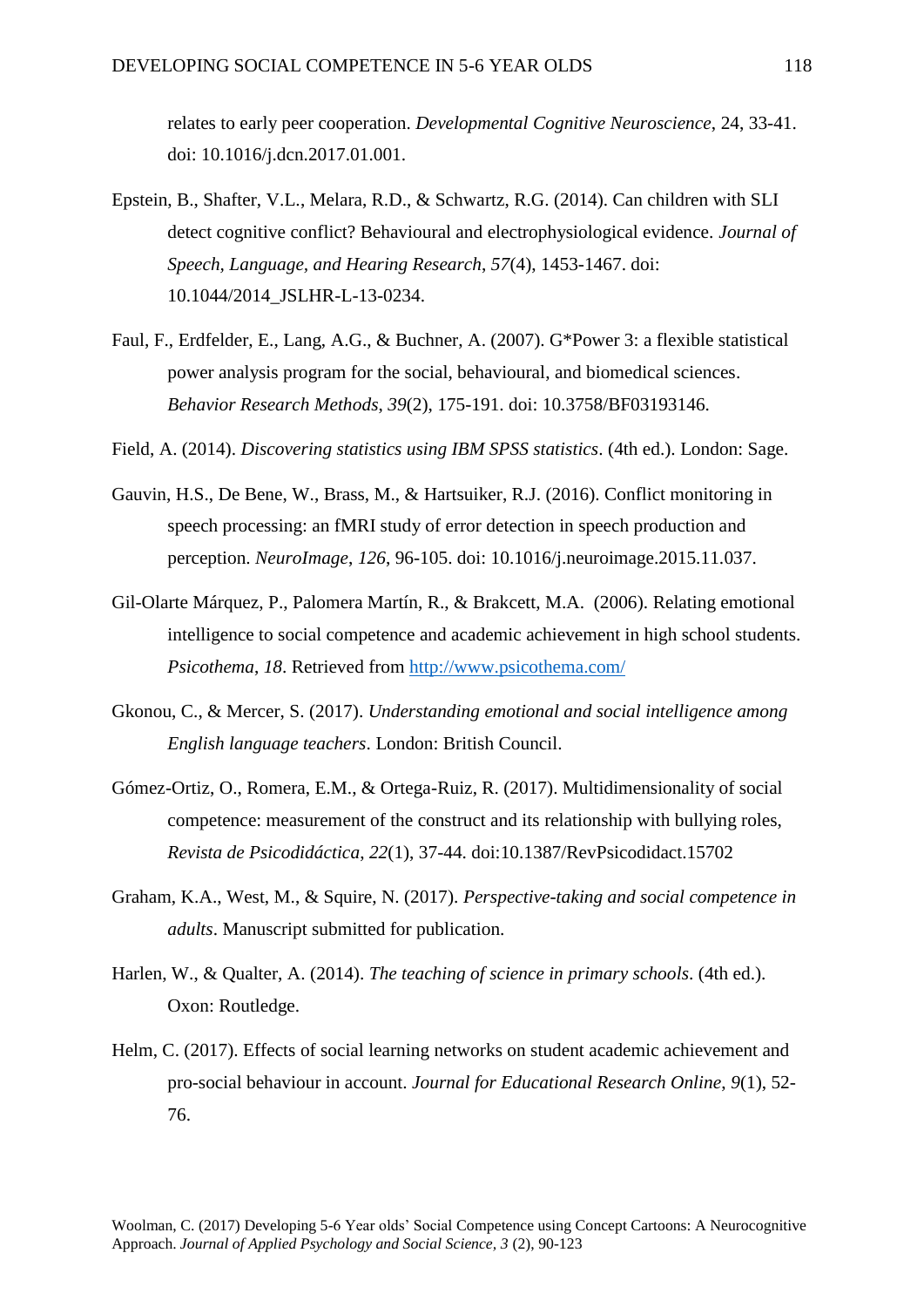relates to early peer cooperation. *Developmental Cognitive Neuroscience*, 24, 33-41. doi: 10.1016/j.dcn.2017.01.001.

- Epstein, B., Shafter, V.L., Melara, R.D., & Schwartz, R.G. (2014). Can children with SLI detect cognitive conflict? Behavioural and electrophysiological evidence. *Journal of Speech, Language, and Hearing Research*, *57*(4), 1453-1467. doi: 10.1044/2014\_JSLHR-L-13-0234.
- Faul, F., Erdfelder, E., Lang, A.G., & Buchner, A. (2007). G\*Power 3: a flexible statistical power analysis program for the social, behavioural, and biomedical sciences. *Behavior Research Methods*, *39*(2), 175-191. doi: 10.3758/BF03193146.
- Field, A. (2014). *Discovering statistics using IBM SPSS statistics*. (4th ed.). London: Sage.
- Gauvin, H.S., De Bene, W., Brass, M., & Hartsuiker, R.J. (2016). Conflict monitoring in speech processing: an fMRI study of error detection in speech production and perception. *NeuroImage*, *126*, 96-105. doi: 10.1016/j.neuroimage.2015.11.037.
- Gil-Olarte Márquez, P., Palomera Martín, R., & Brakcett, M.A. (2006). Relating emotional intelligence to social competence and academic achievement in high school students. *Psicothema*, *18*. Retrieved from<http://www.psicothema.com/>
- Gkonou, C., & Mercer, S. (2017). *Understanding emotional and social intelligence among English language teachers*. London: British Council.
- Gómez-Ortiz, O., Romera, E.M., & Ortega-Ruiz, R. (2017). Multidimensionality of social competence: measurement of the construct and its relationship with bullying roles, *Revista de Psicodidáctica*, *22*(1), 37-44. doi:10.1387/RevPsicodidact.15702
- Graham, K.A., West, M., & Squire, N. (2017). *Perspective-taking and social competence in adults*. Manuscript submitted for publication.
- Harlen, W., & Qualter, A. (2014). *The teaching of science in primary schools*. (4th ed.). Oxon: Routledge.
- Helm, C. (2017). Effects of social learning networks on student academic achievement and pro-social behaviour in account. *Journal for Educational Research Online*, *9*(1), 52- 76.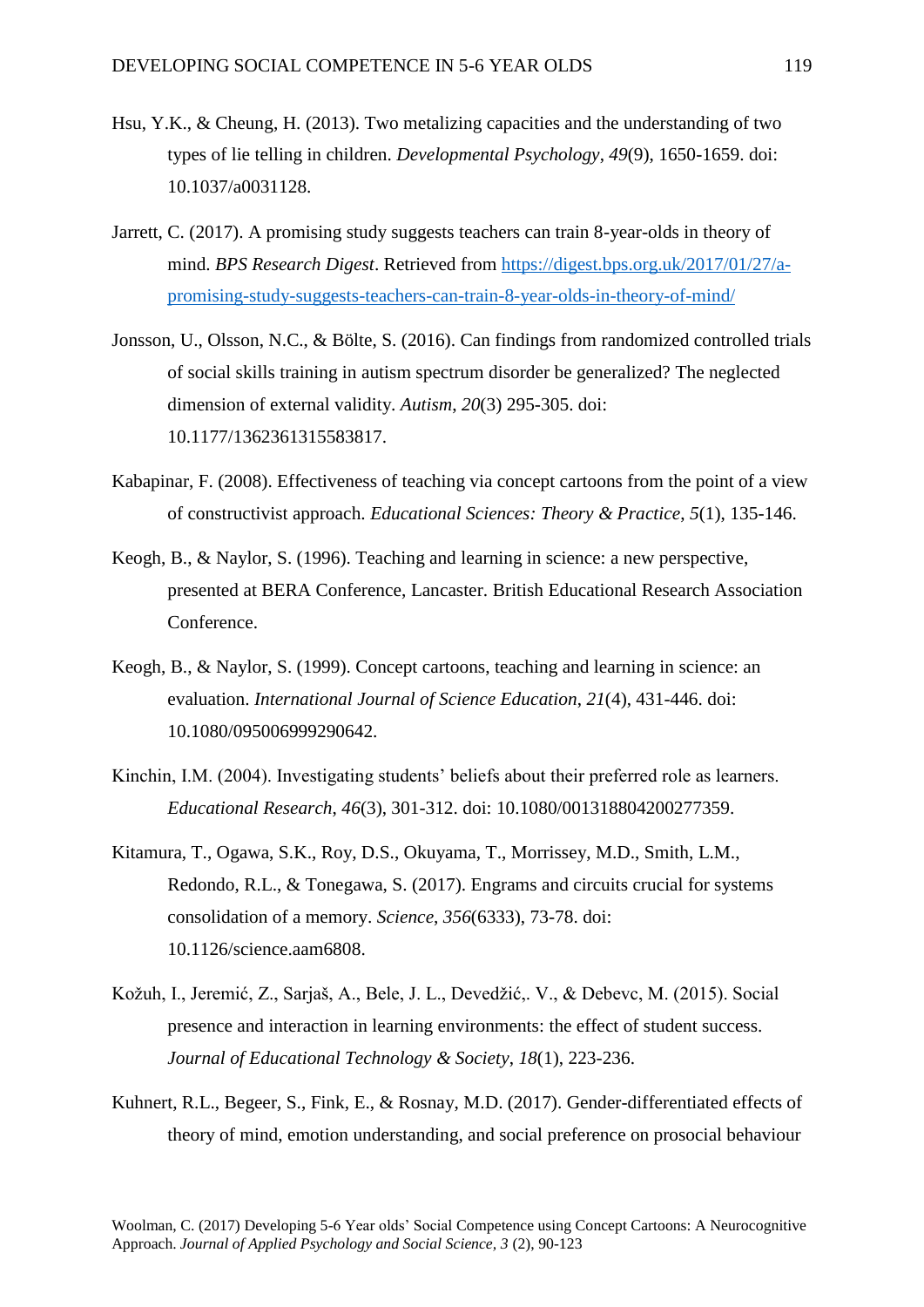- Hsu, Y.K., & Cheung, H. (2013). Two metalizing capacities and the understanding of two types of lie telling in children. *Developmental Psychology*, *49*(9), 1650-1659. doi: 10.1037/a0031128.
- Jarrett, C. (2017). A promising study suggests teachers can train 8-year-olds in theory of mind. *BPS Research Digest*. Retrieved from [https://digest.bps.org.uk/2017/01/27/a](https://digest.bps.org.uk/2017/01/27/a-promising-study-suggests-teachers-can-train-8-year-olds-in-theory-of-mind/)[promising-study-suggests-teachers-can-train-8-year-olds-in-theory-of-mind/](https://digest.bps.org.uk/2017/01/27/a-promising-study-suggests-teachers-can-train-8-year-olds-in-theory-of-mind/)
- Jonsson, U., Olsson, N.C., & Bölte, S. (2016). Can findings from randomized controlled trials of social skills training in autism spectrum disorder be generalized? The neglected dimension of external validity. *Autism*, *20*(3) 295-305. doi: 10.1177/1362361315583817.
- Kabapinar, F. (2008). Effectiveness of teaching via concept cartoons from the point of a view of constructivist approach. *Educational Sciences: Theory & Practice*, *5*(1), 135-146.
- Keogh, B., & Naylor, S. (1996). Teaching and learning in science: a new perspective, presented at BERA Conference, Lancaster. British Educational Research Association Conference.
- Keogh, B., & Naylor, S. (1999). Concept cartoons, teaching and learning in science: an evaluation. *International Journal of Science Education*, *21*(4), 431-446. doi: 10.1080/095006999290642.
- Kinchin, I.M. (2004). Investigating students' beliefs about their preferred role as learners. *Educational Research*, *46*(3), 301-312. doi: 10.1080/001318804200277359.
- Kitamura, T., Ogawa, S.K., Roy, D.S., Okuyama, T., Morrissey, M.D., Smith, L.M., Redondo, R.L., & Tonegawa, S. (2017). Engrams and circuits crucial for systems consolidation of a memory. *Science*, *356*(6333), 73-78. doi: 10.1126/science.aam6808.
- Kožuh, I., Jeremić, Z., Sarjaš, A., Bele, J. L., Devedžić,. V., & Debevc, M. (2015). Social presence and interaction in learning environments: the effect of student success. *Journal of Educational Technology & Society*, *18*(1), 223-236.
- Kuhnert, R.L., Begeer, S., Fink, E., & Rosnay, M.D. (2017). Gender-differentiated effects of theory of mind, emotion understanding, and social preference on prosocial behaviour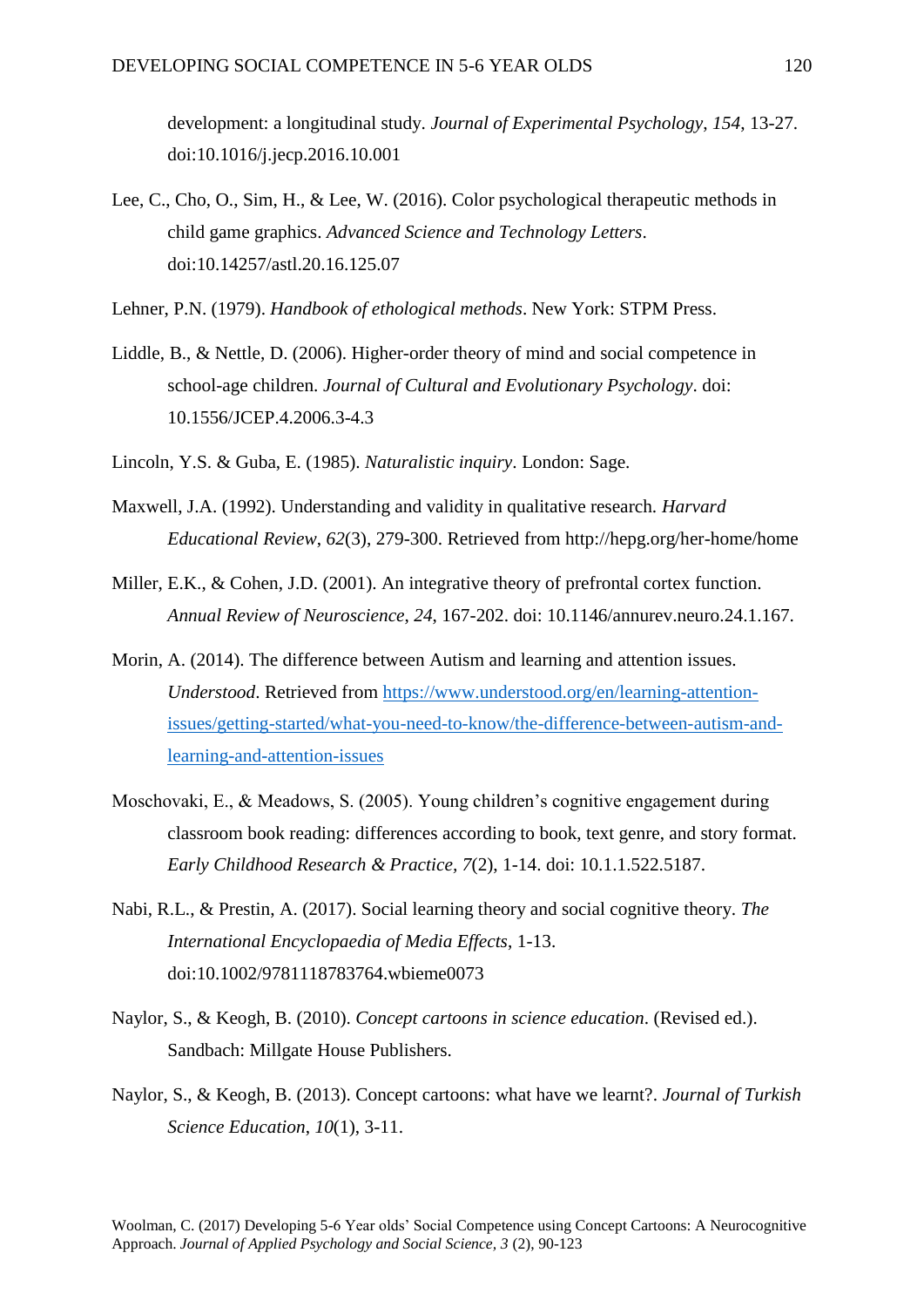development: a longitudinal study. *Journal of Experimental Psychology*, *154*, 13-27. doi:10.1016/j.jecp.2016.10.001

- Lee, C., Cho, O., Sim, H., & Lee, W. (2016). Color psychological therapeutic methods in child game graphics. *Advanced Science and Technology Letters*. doi:10.14257/astl.20.16.125.07
- Lehner, P.N. (1979). *Handbook of ethological methods*. New York: STPM Press.
- Liddle, B., & Nettle, D. (2006). Higher-order theory of mind and social competence in school-age children. *Journal of Cultural and Evolutionary Psychology*. doi: 10.1556/JCEP.4.2006.3-4.3
- Lincoln, Y.S. & Guba, E. (1985). *Naturalistic inquiry*. London: Sage.
- Maxwell, J.A. (1992). Understanding and validity in qualitative research. *Harvard Educational Review*, *62*(3), 279-300. Retrieved from http://hepg.org/her-home/home
- Miller, E.K., & Cohen, J.D. (2001). An integrative theory of prefrontal cortex function. *Annual Review of Neuroscience*, *24*, 167-202. doi: 10.1146/annurev.neuro.24.1.167.
- Morin, A. (2014). The difference between Autism and learning and attention issues. *Understood*. Retrieved from [https://www.understood.org/en/learning-attention](https://www.understood.org/en/learning-attention-issues/getting-started/what-you-need-to-know/the-difference-between-autism-and-learning-and-attention-issues)[issues/getting-started/what-you-need-to-know/the-difference-between-autism-and](https://www.understood.org/en/learning-attention-issues/getting-started/what-you-need-to-know/the-difference-between-autism-and-learning-and-attention-issues)[learning-and-attention-issues](https://www.understood.org/en/learning-attention-issues/getting-started/what-you-need-to-know/the-difference-between-autism-and-learning-and-attention-issues)
- Moschovaki, E., & Meadows, S. (2005). Young children's cognitive engagement during classroom book reading: differences according to book, text genre, and story format*. Early Childhood Research & Practice, 7*(2), 1-14. doi: 10.1.1.522.5187.
- Nabi, R.L., & Prestin, A. (2017). Social learning theory and social cognitive theory. *The International Encyclopaedia of Media Effects*, 1-13. doi:10.1002/9781118783764.wbieme0073
- Naylor, S., & Keogh, B. (2010). *Concept cartoons in science education*. (Revised ed.). Sandbach: Millgate House Publishers.
- Naylor, S., & Keogh, B. (2013). Concept cartoons: what have we learnt?. *Journal of Turkish Science Education*, *10*(1), 3-11.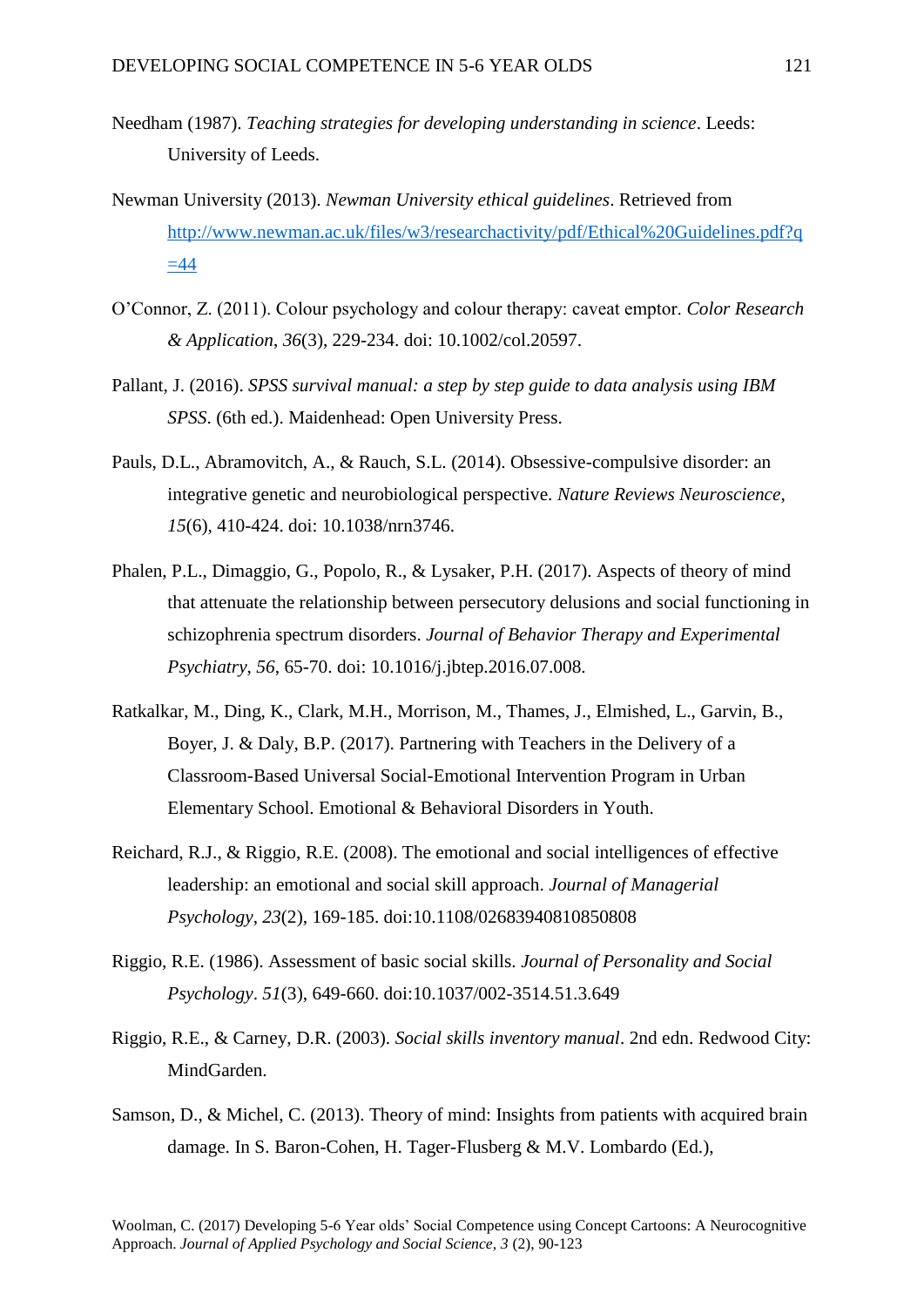- Needham (1987). *Teaching strategies for developing understanding in science*. Leeds: University of Leeds.
- Newman University (2013). *Newman University ethical guidelines*. Retrieved from [http://www.newman.ac.uk/files/w3/researchactivity/pdf/Ethical%20Guidelines.pdf?q](http://www.newman.ac.uk/files/w3/researchactivity/pdf/Ethical%20Guidelines.pdf?q=44)  $=44$
- O'Connor, Z. (2011). Colour psychology and colour therapy: caveat emptor. *Color Research & Application*, *36*(3), 229-234. doi: 10.1002/col.20597.
- Pallant, J. (2016). *SPSS survival manual: a step by step guide to data analysis using IBM SPSS*. (6th ed.). Maidenhead: Open University Press.
- Pauls, D.L., Abramovitch, A., & Rauch, S.L. (2014). Obsessive-compulsive disorder: an integrative genetic and neurobiological perspective. *Nature Reviews Neuroscience*, *15*(6), 410-424. doi: 10.1038/nrn3746.
- Phalen, P.L., Dimaggio, G., Popolo, R., & Lysaker, P.H. (2017). Aspects of theory of mind that attenuate the relationship between persecutory delusions and social functioning in schizophrenia spectrum disorders. *Journal of Behavior Therapy and Experimental Psychiatry*, *56*, 65-70. doi: 10.1016/j.jbtep.2016.07.008.
- Ratkalkar, M., Ding, K., Clark, M.H., Morrison, M., Thames, J., Elmished, L., Garvin, B., Boyer, J. & Daly, B.P. (2017). Partnering with Teachers in the Delivery of a Classroom-Based Universal Social-Emotional Intervention Program in Urban Elementary School. Emotional & Behavioral Disorders in Youth.
- Reichard, R.J., & Riggio, R.E. (2008). The emotional and social intelligences of effective leadership: an emotional and social skill approach. *Journal of Managerial Psychology*, *23*(2), 169-185. doi:10.1108/02683940810850808
- Riggio, R.E. (1986). Assessment of basic social skills. *Journal of Personality and Social Psychology*. *51*(3), 649-660. doi:10.1037/002-3514.51.3.649
- Riggio, R.E., & Carney, D.R. (2003). *Social skills inventory manual*. 2nd edn. Redwood City: MindGarden.
- Samson, D., & Michel, C. (2013). Theory of mind: Insights from patients with acquired brain damage. In S. Baron-Cohen, H. Tager-Flusberg & M.V. Lombardo (Ed.),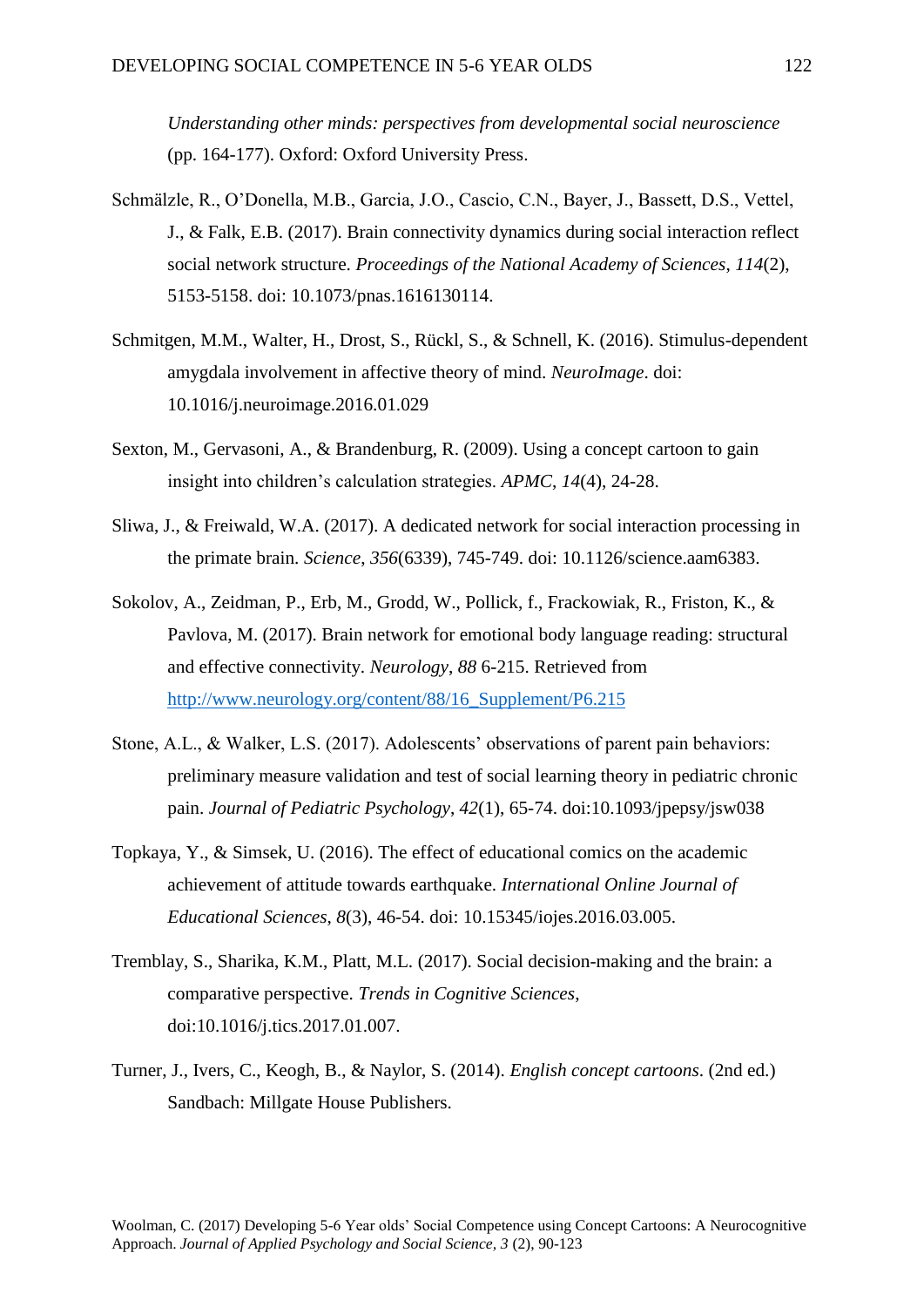*Understanding other minds: perspectives from developmental social neuroscience* (pp. 164-177). Oxford: Oxford University Press.

- Schmälzle, R., O'Donella, M.B., Garcia, J.O., Cascio, C.N., Bayer, J., Bassett, D.S., Vettel, J., & Falk, E.B. (2017). Brain connectivity dynamics during social interaction reflect social network structure. *Proceedings of the National Academy of Sciences*, *114*(2), 5153-5158. doi: 10.1073/pnas.1616130114.
- Schmitgen, M.M., Walter, H., Drost, S., Rückl, S., & Schnell, K. (2016). Stimulus-dependent amygdala involvement in affective theory of mind. *NeuroImage*. doi: 10.1016/j.neuroimage.2016.01.029
- Sexton, M., Gervasoni, A., & Brandenburg, R. (2009). Using a concept cartoon to gain insight into children's calculation strategies. *APMC*, *14*(4), 24-28.
- Sliwa, J., & Freiwald, W.A. (2017). A dedicated network for social interaction processing in the primate brain. *Science*, *356*(6339), 745-749. doi: 10.1126/science.aam6383.
- Sokolov, A., Zeidman, P., Erb, M., Grodd, W., Pollick, f., Frackowiak, R., Friston, K., & Pavlova, M. (2017). Brain network for emotional body language reading: structural and effective connectivity. *Neurology*, *88* 6-215. Retrieved from [http://www.neurology.org/content/88/16\\_Supplement/P6.215](http://www.neurology.org/content/88/16_Supplement/P6.215)
- Stone, A.L., & Walker, L.S. (2017). Adolescents' observations of parent pain behaviors: preliminary measure validation and test of social learning theory in pediatric chronic pain. *Journal of Pediatric Psychology*, *42*(1), 65-74. doi:10.1093/jpepsy/jsw038
- Topkaya, Y., & Simsek, U. (2016). The effect of educational comics on the academic achievement of attitude towards earthquake. *International Online Journal of Educational Sciences*, *8*(3), 46-54. doi: 10.15345/iojes.2016.03.005.
- Tremblay, S., Sharika, K.M., Platt, M.L. (2017). Social decision-making and the brain: a comparative perspective. *Trends in Cognitive Sciences*, doi:10.1016/j.tics.2017.01.007.
- Turner, J., Ivers, C., Keogh, B., & Naylor, S. (2014). *English concept cartoons*. (2nd ed.) Sandbach: Millgate House Publishers.